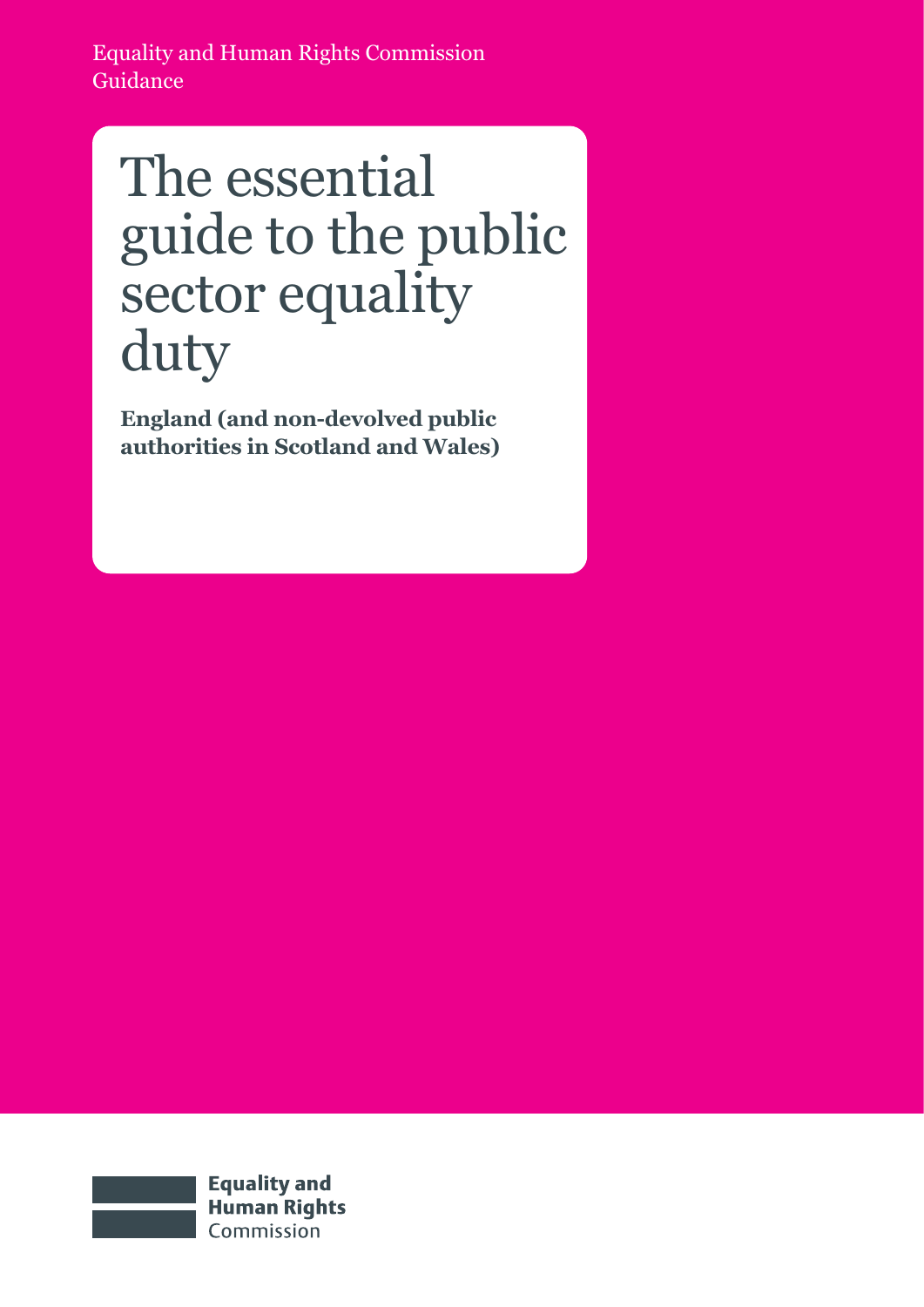Equality and Human Rights Commission Guidance

### The essential guide to the public sector equality duty

**England (and non-devolved public authorities in Scotland and Wales)**

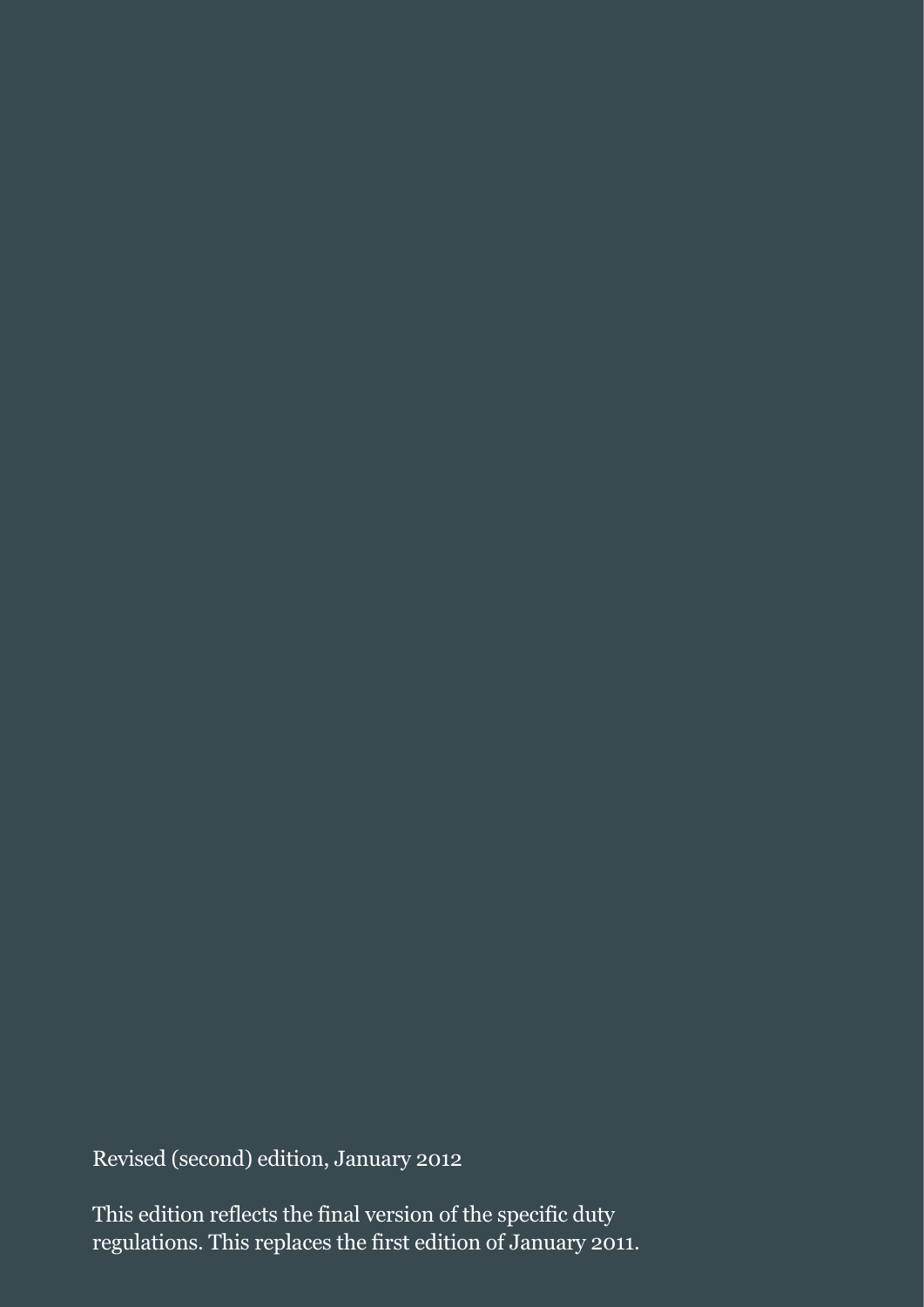Revised (second) edition, January 2012

This edition reflects the final version of the specific duty regulations. This replaces the first edition of January 2011.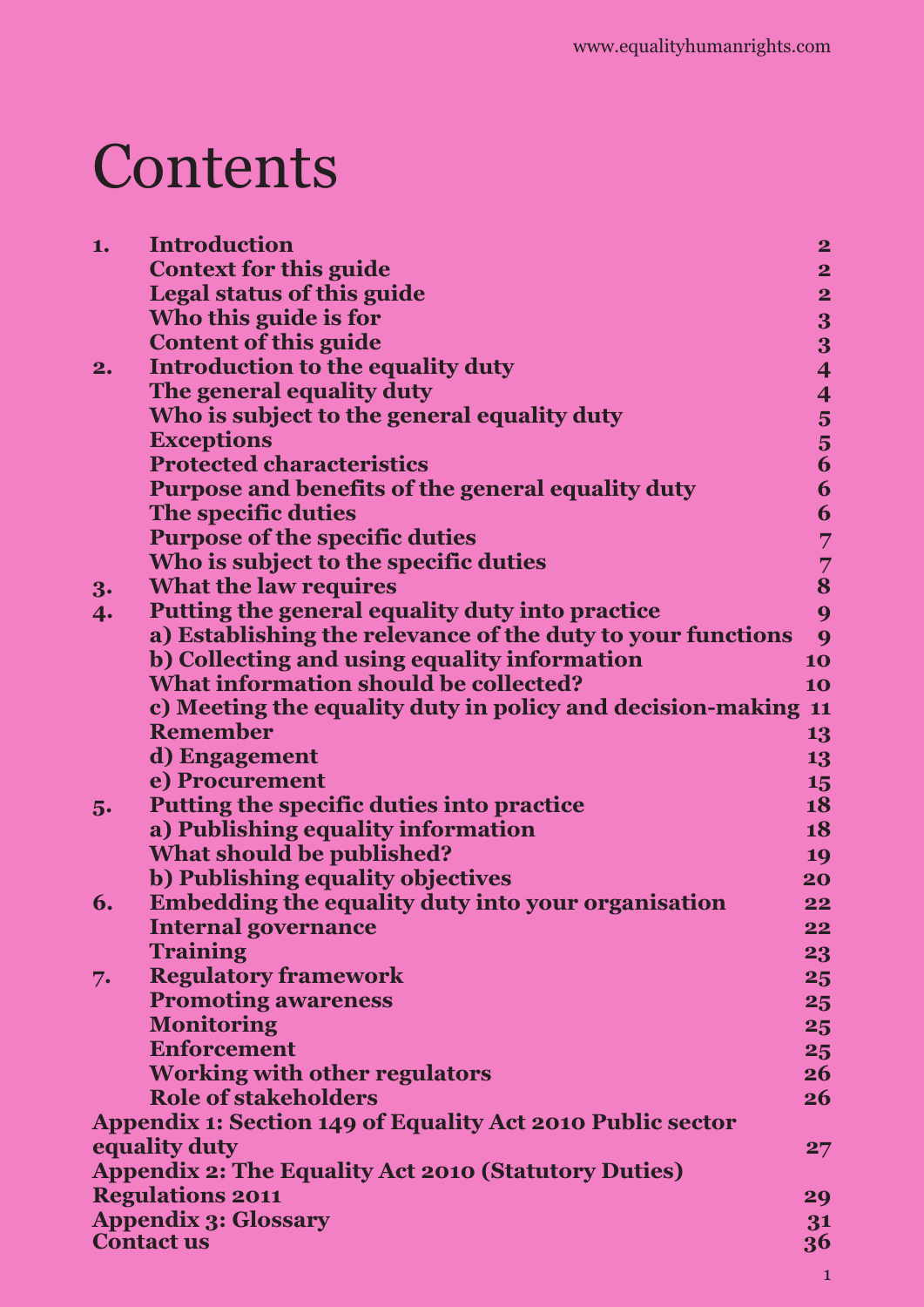### **Contents**

| 1. | <b>Introduction</b>                                               | $\overline{\mathbf{2}}$ |
|----|-------------------------------------------------------------------|-------------------------|
|    | <b>Context for this guide</b>                                     | $\overline{\mathbf{2}}$ |
|    | Legal status of this guide                                        | $\overline{\mathbf{2}}$ |
|    | Who this guide is for                                             | 3                       |
|    | <b>Content of this guide</b>                                      | 3                       |
| 2. | <b>Introduction to the equality duty</b>                          | $\overline{\mathbf{4}}$ |
|    | The general equality duty                                         | $\overline{\mathbf{4}}$ |
|    | Who is subject to the general equality duty                       | $\overline{\mathbf{5}}$ |
|    | <b>Exceptions</b>                                                 | $\overline{\mathbf{5}}$ |
|    | <b>Protected characteristics</b>                                  | 6                       |
|    | Purpose and benefits of the general equality duty                 | 6                       |
|    | The specific duties                                               | 6                       |
|    | <b>Purpose of the specific duties</b>                             | 7                       |
|    | Who is subject to the specific duties                             | $\frac{7}{8}$           |
| 3. | <b>What the law requires</b>                                      |                         |
| 4. | Putting the general equality duty into practice                   | 9                       |
|    | a) Establishing the relevance of the duty to your functions       | 9                       |
|    | b) Collecting and using equality information                      | 10                      |
|    | <b>What information should be collected?</b>                      | 10                      |
|    | c) Meeting the equality duty in policy and decision-making 11     |                         |
|    | <b>Remember</b>                                                   | 13                      |
|    | d) Engagement                                                     | 13                      |
|    | e) Procurement                                                    | 15                      |
| 5. | Putting the specific duties into practice                         | 18                      |
|    | a) Publishing equality information                                | 18                      |
|    | <b>What should be published?</b>                                  | 19                      |
|    | b) Publishing equality objectives                                 | 20                      |
| 6. | Embedding the equality duty into your organisation                | 22                      |
|    | <b>Internal governance</b>                                        | 22                      |
|    | <b>Training</b>                                                   | 23                      |
| 7. | <b>Regulatory framework</b>                                       | 25                      |
|    | <b>Promoting awareness</b>                                        | 25                      |
|    | <b>Monitoring</b>                                                 | 25                      |
|    | <b>Enforcement</b>                                                | 25                      |
|    | <b>Working with other regulators</b>                              | 26                      |
|    | <b>Role of stakeholders</b>                                       | 26                      |
|    | <b>Appendix 1: Section 149 of Equality Act 2010 Public sector</b> |                         |
|    | equality duty                                                     | 27                      |
|    | <b>Appendix 2: The Equality Act 2010 (Statutory Duties)</b>       |                         |
|    | <b>Regulations 2011</b>                                           | 29                      |
|    | <b>Appendix 3: Glossary</b>                                       | 31                      |
|    | <b>Contact us</b>                                                 | 36                      |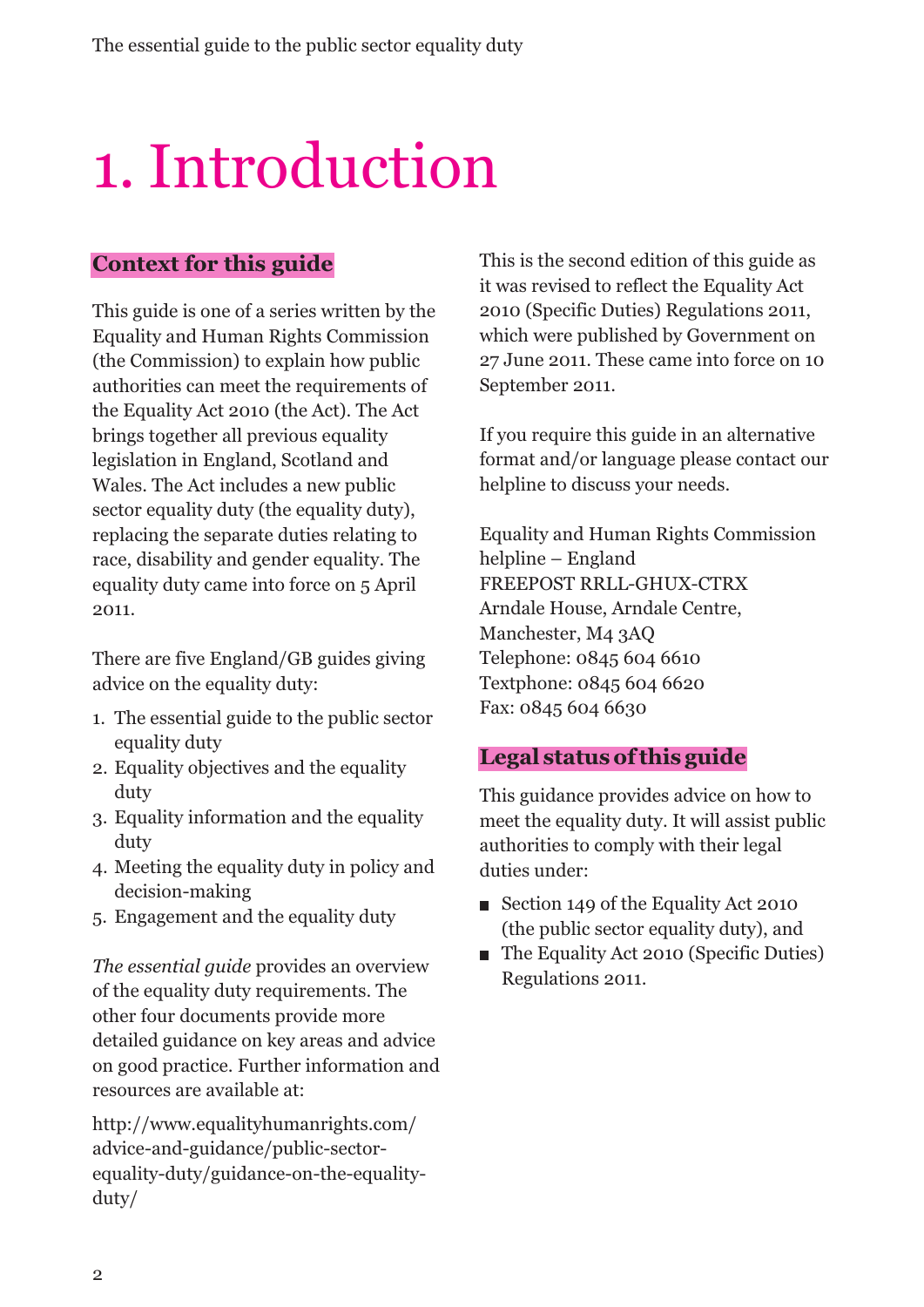# 1. Introduction

#### **Context for this guide**

This guide is one of a series written by the Equality and Human Rights Commission (the Commission) to explain how public authorities can meet the requirements of the Equality Act 2010 (the Act). The Act brings together all previous equality legislation in England, Scotland and Wales. The Act includes a new public sector equality duty (the equality duty), replacing the separate duties relating to race, disability and gender equality. The equality duty came into force on 5 April 2011.

There are five England/GB guides giving advice on the equality duty:

- 1. The essential guide to the public sector equality duty
- 2. Equality objectives and the equality duty
- 3. Equality information and the equality duty
- 4. Meeting the equality duty in policy and decision-making
- 5. Engagement and the equality duty

*The essential guide* provides an overview of the equality duty requirements. The other four documents provide more detailed guidance on key areas and advice on good practice. Further information and resources are available at:

<http://www.equalityhumanrights.com/> advice-and-guidance/public-sectorequality-duty/guidance-on-the-equalityduty/

This is the second edition of this guide as it was revised to reflect the Equality Act 2010 (Specific Duties) Regulations 2011, which were published by Government on 27 June 2011. These came into force on 10 September 2011.

If you require this guide in an alternative format and/or language please contact our helpline to discuss your needs.

Equality and Human Rights Commission helpline – England FREEPOST RRLL-GHUX-CTRX Arndale House, Arndale Centre, Manchester, M4 3AQ Telephone: 0845 604 6610 Textphone: 0845 604 6620 Fax: 0845 604 6630

#### **Legal status of this guide**

This guidance provides advice on how to meet the equality duty. It will assist public authorities to comply with their legal duties under:

- Section 149 of the Equality Act 2010 (the public sector equality duty), and
- The Equality Act 2010 (Specific Duties) Regulations 2011.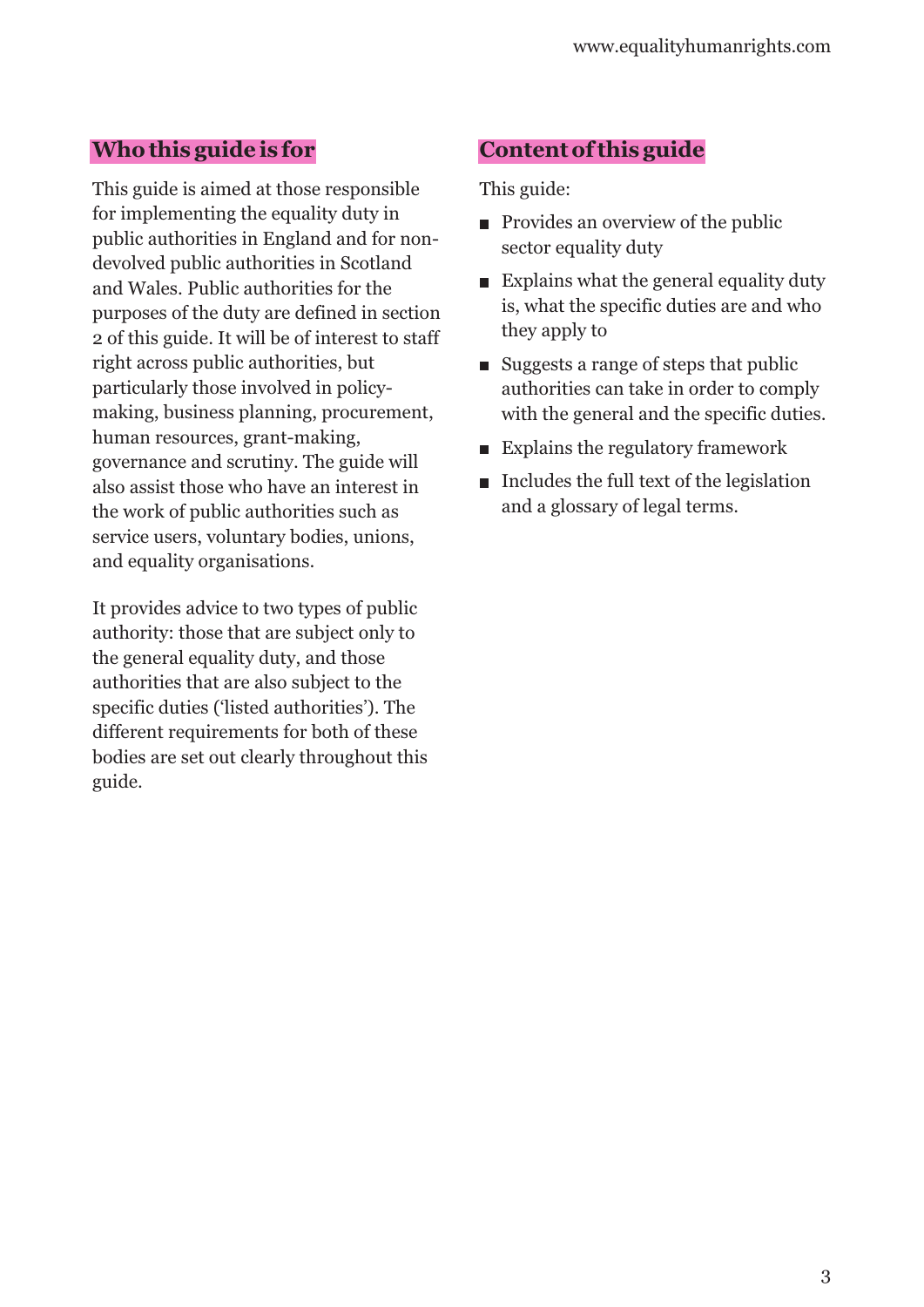#### **Who this guide is for**

This guide is aimed at those responsible for implementing the equality duty in public authorities in England and for nondevolved public authorities in Scotland and Wales. Public authorities for the purposes of the duty are defined in section 2 of this guide. It will be of interest to staff right across public authorities, but particularly those involved in policymaking, business planning, procurement, human resources, grant-making, governance and scrutiny. The guide will also assist those who have an interest in the work of public authorities such as service users, voluntary bodies, unions, and equality organisations.

It provides advice to two types of public authority: those that are subject only to the general equality duty, and those authorities that are also subject to the specific duties ('listed authorities'). The different requirements for both of these bodies are set out clearly throughout this guide.

#### **Content of this guide**

This guide:

- Provides an overview of the public sector equality duty
- Explains what the general equality duty is, what the specific duties are and who they apply to
- Suggests a range of steps that public authorities can take in order to comply with the general and the specific duties.
- Explains the regulatory framework
- $\blacksquare$  Includes the full text of the legislation and a glossary of legal terms.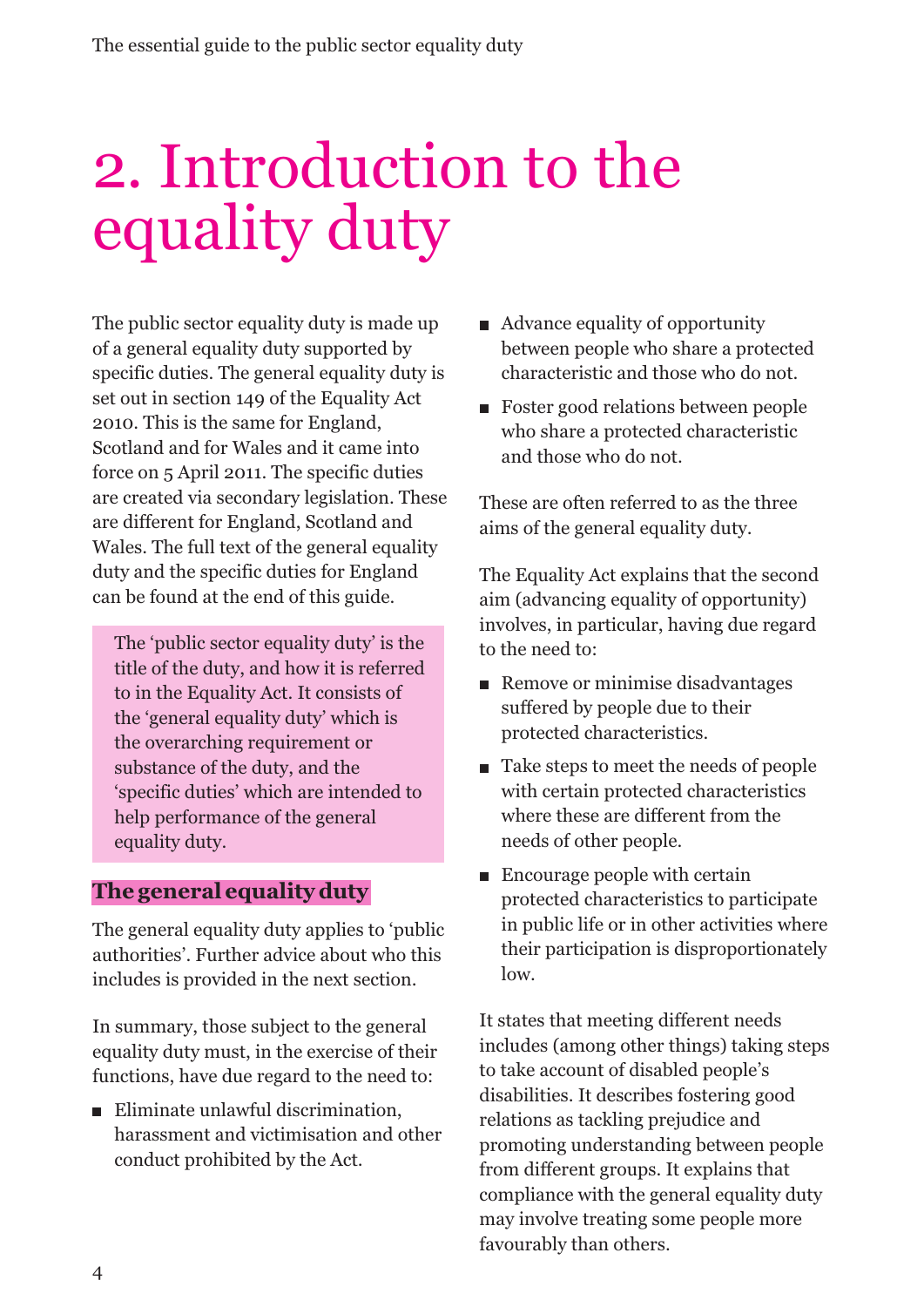## 2. Introduction to the equality duty

The public sector equality duty is made up of a general equality duty supported by specific duties. The general equality duty is set out in section 149 of the Equality Act 2010. This is the same for England, Scotland and for Wales and it came into force on 5 April 2011. The specific duties are created via secondary legislation. These are different for England, Scotland and Wales. The full text of the general equality duty and the specific duties for England can be found at the end of this guide.

The 'public sector equality duty' is the title of the duty, and how it is referred to in the Equality Act. It consists of the 'general equality duty' which is the overarching requirement or substance of the duty, and the 'specific duties' which are intended to help performance of the general equality duty.

#### **The general equality duty**

The general equality duty applies to 'public authorities'. Further advice about who this includes is provided in the next section.

In summary, those subject to the general equality duty must, in the exercise of their functions, have due regard to the need to:

Eliminate unlawful discrimination, harassment and victimisation and other conduct prohibited by the Act.

- Advance equality of opportunity between people who share a protected characteristic and those who do not.
- Foster good relations between people who share a protected characteristic and those who do not.

These are often referred to as the three aims of the general equality duty.

The Equality Act explains that the second aim (advancing equality of opportunity) involves, in particular, having due regard to the need to:

- Remove or minimise disadvantages suffered by people due to their protected characteristics.
- Take steps to meet the needs of people with certain protected characteristics where these are different from the needs of other people.
- $\blacksquare$  Encourage people with certain protected characteristics to participate in public life or in other activities where their participation is disproportionately low.

It states that meeting different needs includes (among other things) taking steps to take account of disabled people's disabilities. It describes fostering good relations as tackling prejudice and promoting understanding between people from different groups. It explains that compliance with the general equality duty may involve treating some people more favourably than others.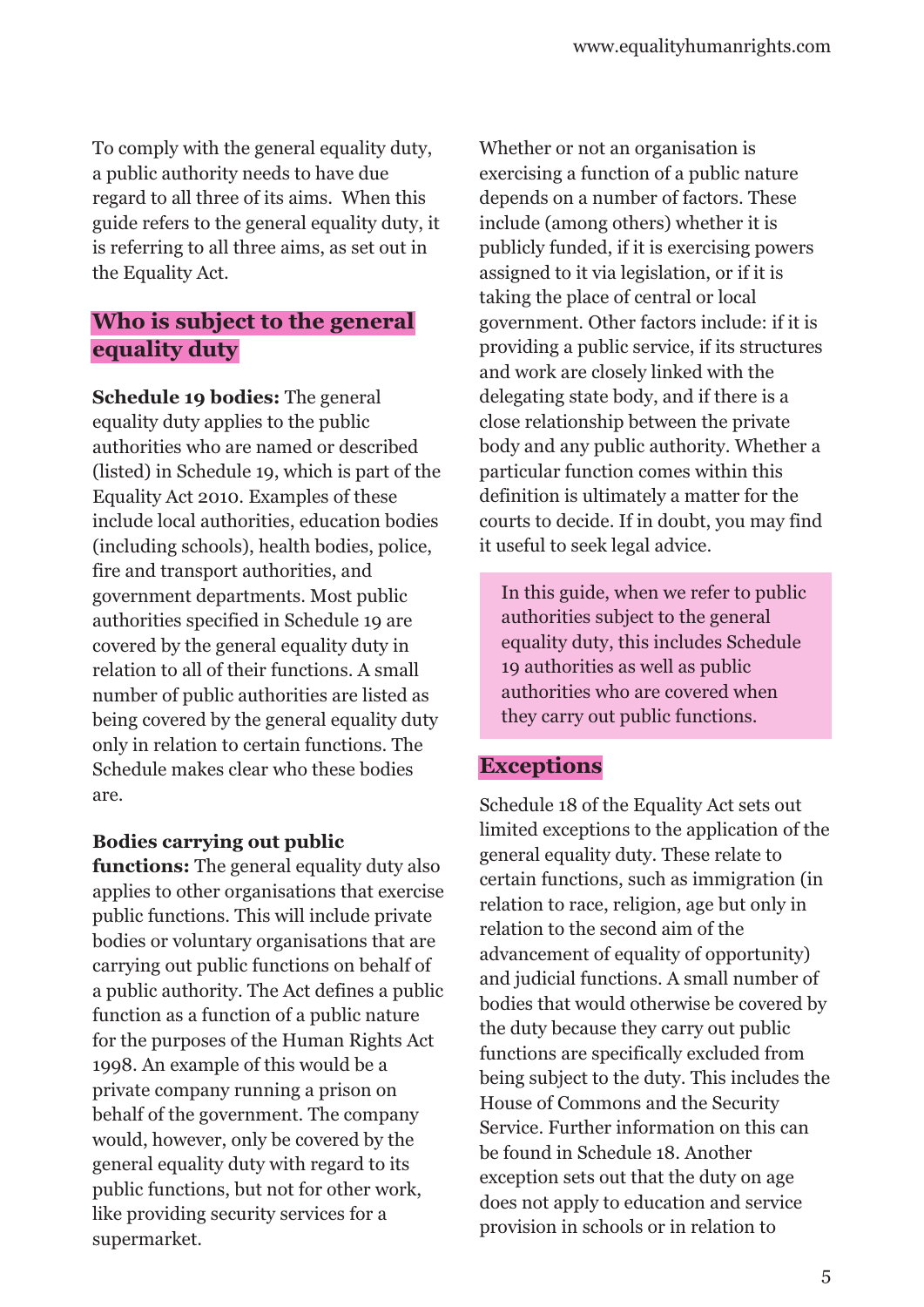To comply with the general equality duty, a public authority needs to have due regard to all three of its aims. When this guide refers to the general equality duty, it is referring to all three aims, as set out in the Equality Act.

#### **Who is subject to the general equality duty**

**Schedule 19 bodies:** The general equality duty applies to the public authorities who are named or described (listed) in Schedule 19, which is part of the Equality Act 2010. Examples of these include local authorities, education bodies (including schools), health bodies, police, fire and transport authorities, and government departments. Most public authorities specified in Schedule 19 are covered by the general equality duty in relation to all of their functions. A small number of public authorities are listed as being covered by the general equality duty only in relation to certain functions. The Schedule makes clear who these bodies are.

#### **Bodies carrying out public**

**functions:** The general equality duty also applies to other organisations that exercise public functions. This will include private bodies or voluntary organisations that are carrying out public functions on behalf of a public authority. The Act defines a public function as a function of a public nature for the purposes of the Human Rights Act 1998. An example of this would be a private company running a prison on behalf of the government. The company would, however, only be covered by the general equality duty with regard to its public functions, but not for other work, like providing security services for a supermarket.

Whether or not an organisation is exercising a function of a public nature depends on a number of factors. These include (among others) whether it is publicly funded, if it is exercising powers assigned to it via legislation, or if it is taking the place of central or local government. Other factors include: if it is providing a public service, if its structures and work are closely linked with the delegating state body, and if there is a close relationship between the private body and any public authority. Whether a particular function comes within this definition is ultimately a matter for the courts to decide. If in doubt, you may find it useful to seek legal advice.

In this guide, when we refer to public authorities subject to the general equality duty, this includes Schedule 19 authorities as well as public authorities who are covered when they carry out public functions.

#### **Exceptions**

Schedule 18 of the Equality Act sets out limited exceptions to the application of the general equality duty. These relate to certain functions, such as immigration (in relation to race, religion, age but only in relation to the second aim of the advancement of equality of opportunity) and judicial functions. A small number of bodies that would otherwise be covered by the duty because they carry out public functions are specifically excluded from being subject to the duty. This includes the House of Commons and the Security Service. Further information on this can be found in Schedule 18. Another exception sets out that the duty on age does not apply to education and service provision in schools or in relation to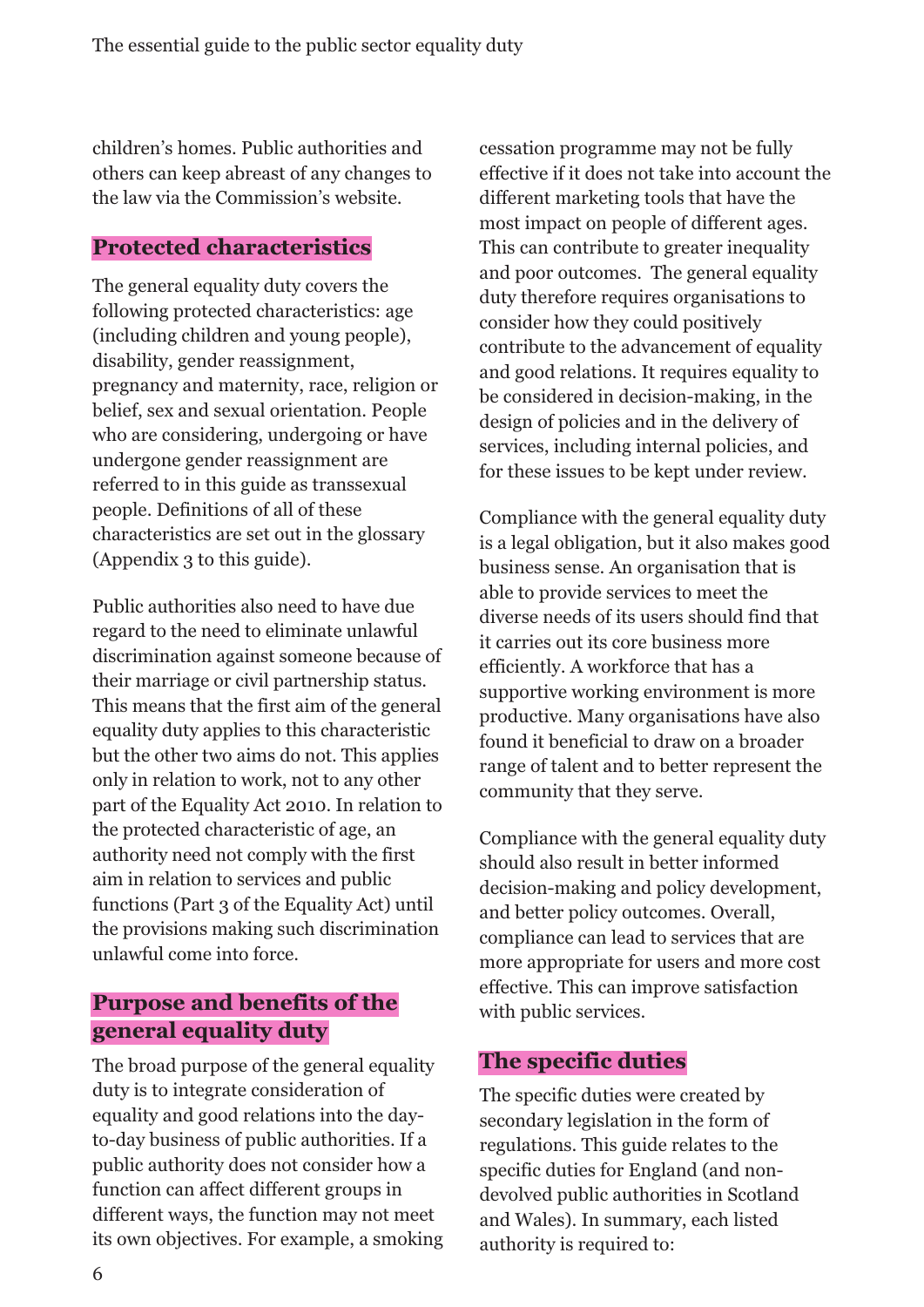children's homes. Public authorities and others can keep abreast of any changes to the law via the Commission's website.

#### **Protected characteristics**

The general equality duty covers the following protected characteristics: age (including children and young people), disability, gender reassignment, pregnancy and maternity, race, religion or belief, sex and sexual orientation. People who are considering, undergoing or have undergone gender reassignment are referred to in this guide as transsexual people. Definitions of all of these characteristics are set out in the glossary (Appendix 3 to this guide).

Public authorities also need to have due regard to the need to eliminate unlawful discrimination against someone because of their marriage or civil partnership status. This means that the first aim of the general equality duty applies to this characteristic but the other two aims do not. This applies only in relation to work, not to any other part of the Equality Act 2010. In relation to the protected characteristic of age, an authority need not comply with the first aim in relation to services and public functions (Part 3 of the Equality Act) until the provisions making such discrimination unlawful come into force.

#### **Purpose and benefits of the general equality duty**

The broad purpose of the general equality duty is to integrate consideration of equality and good relations into the dayto-day business of public authorities. If a public authority does not consider how a function can affect different groups in different ways, the function may not meet its own objectives. For example, a smoking

cessation programme may not be fully effective if it does not take into account the different marketing tools that have the most impact on people of different ages. This can contribute to greater inequality and poor outcomes. The general equality duty therefore requires organisations to consider how they could positively contribute to the advancement of equality and good relations. It requires equality to be considered in decision-making, in the design of policies and in the delivery of services, including internal policies, and for these issues to be kept under review.

Compliance with the general equality duty is a legal obligation, but it also makes good business sense. An organisation that is able to provide services to meet the diverse needs of its users should find that it carries out its core business more efficiently. A workforce that has a supportive working environment is more productive. Many organisations have also found it beneficial to draw on a broader range of talent and to better represent the community that they serve.

Compliance with the general equality duty should also result in better informed decision-making and policy development, and better policy outcomes. Overall, compliance can lead to services that are more appropriate for users and more cost effective. This can improve satisfaction with public services.

#### **The specific duties**

The specific duties were created by secondary legislation in the form of regulations. This guide relates to the specific duties for England (and nondevolved public authorities in Scotland and Wales). In summary, each listed authority is required to: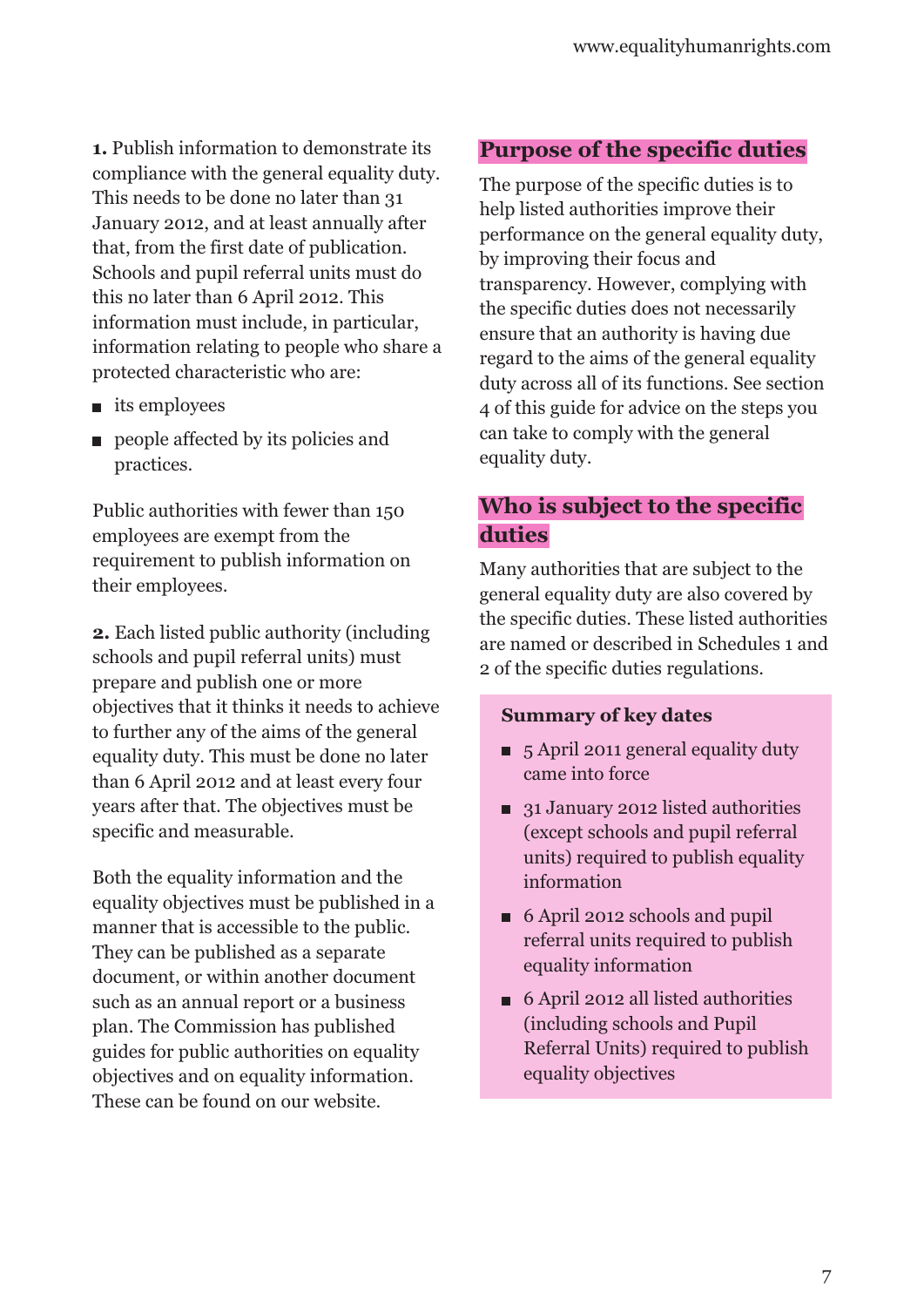**1.** Publish information to demonstrate its compliance with the general equality duty. This needs to be done no later than 31 January 2012, and at least annually after that, from the first date of publication. Schools and pupil referral units must do this no later than 6 April 2012. This information must include, in particular, information relating to people who share a protected characteristic who are:

- its employees
- $\blacksquare$  people affected by its policies and practices.

Public authorities with fewer than 150 employees are exempt from the requirement to publish information on their employees.

**2.** Each listed public authority (including schools and pupil referral units) must prepare and publish one or more objectives that it thinks it needs to achieve to further any of the aims of the general equality duty. This must be done no later than 6 April 2012 and at least every four years after that. The objectives must be specific and measurable.

Both the equality information and the equality objectives must be published in a manner that is accessible to the public. They can be published as a separate document, or within another document such as an annual report or a business plan. The Commission has published guides for public authorities on equality objectives and on equality information. These can be found on our website.

#### **Purpose of the specific duties**

The purpose of the specific duties is to help listed authorities improve their performance on the general equality duty, by improving their focus and transparency. However, complying with the specific duties does not necessarily ensure that an authority is having due regard to the aims of the general equality duty across all of its functions. See section 4 of this guide for advice on the steps you can take to comply with the general equality duty.

#### **Who is subject to the specific duties**

Many authorities that are subject to the general equality duty are also covered by the specific duties. These listed authorities are named or described in Schedules 1 and 2 of the specific duties regulations.

#### **Summary of key dates**

- 5 April 2011 general equality duty came into force
- 31 January 2012 listed authorities (except schools and pupil referral units) required to publish equality information
- 6 April 2012 schools and pupil referral units required to publish equality information
- 6 April 2012 all listed authorities (including schools and Pupil Referral Units) required to publish equality objectives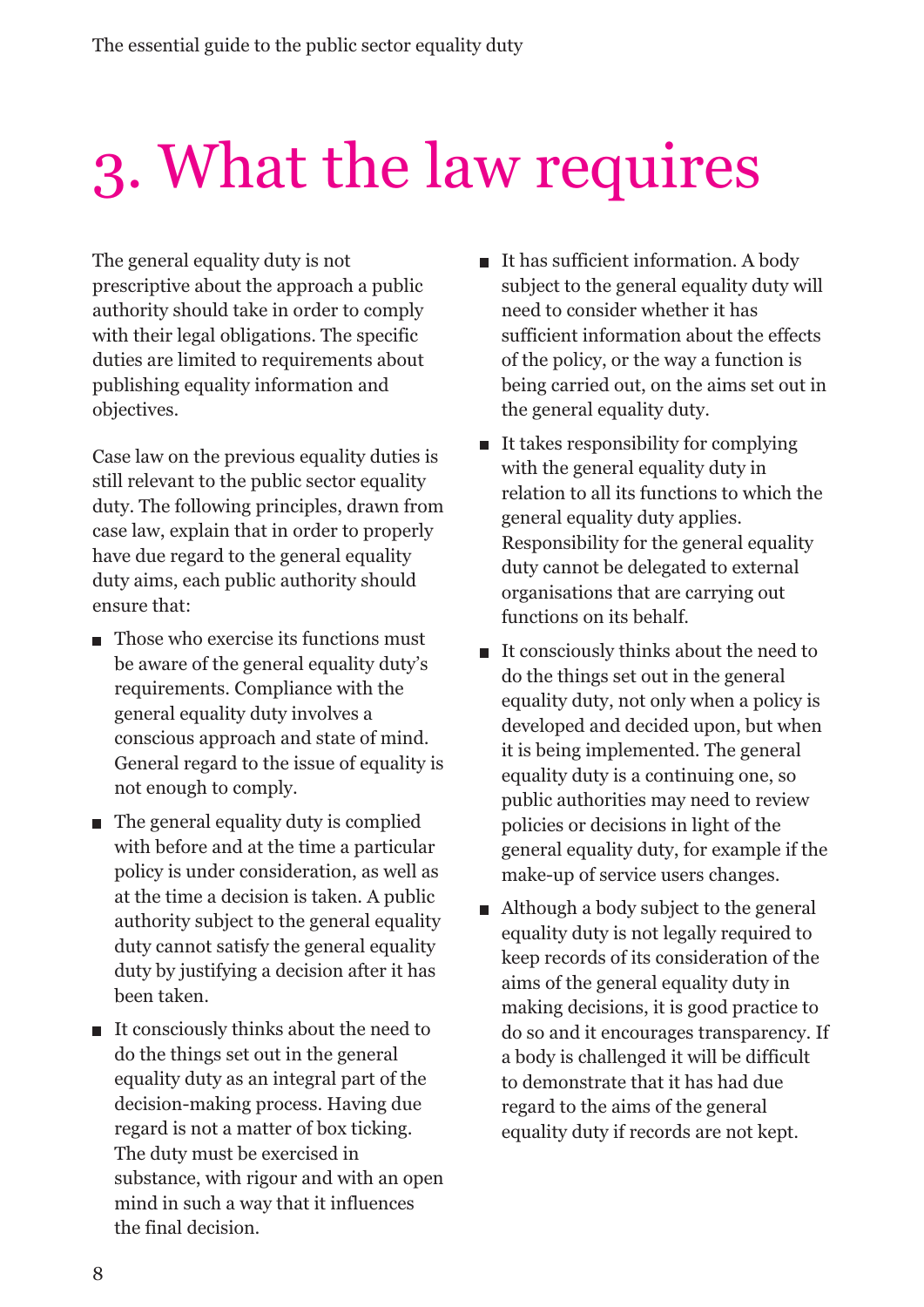## 3. What the law requires

The general equality duty is not prescriptive about the approach a public authority should take in order to comply with their legal obligations. The specific duties are limited to requirements about publishing equality information and objectives.

Case law on the previous equality duties is still relevant to the public sector equality duty. The following principles, drawn from case law, explain that in order to properly have due regard to the general equality duty aims, each public authority should ensure that:

- Those who exercise its functions must be aware of the general equality duty's requirements. Compliance with the general equality duty involves a conscious approach and state of mind. General regard to the issue of equality is not enough to comply.
- The general equality duty is complied with before and at the time a particular policy is under consideration, as well as at the time a decision is taken. A public authority subject to the general equality duty cannot satisfy the general equality duty by justifying a decision after it has been taken.
- $\blacksquare$  It consciously thinks about the need to do the things set out in the general equality duty as an integral part of the decision-making process. Having due regard is not a matter of box ticking. The duty must be exercised in substance, with rigour and with an open mind in such a way that it influences the final decision.
- It has sufficient information. A body subject to the general equality duty will need to consider whether it has sufficient information about the effects of the policy, or the way a function is being carried out, on the aims set out in the general equality duty.
- $\blacksquare$  It takes responsibility for complying with the general equality duty in relation to all its functions to which the general equality duty applies. Responsibility for the general equality duty cannot be delegated to external organisations that are carrying out functions on its behalf.
- $\blacksquare$  It consciously thinks about the need to do the things set out in the general equality duty, not only when a policy is developed and decided upon, but when it is being implemented. The general equality duty is a continuing one, so public authorities may need to review policies or decisions in light of the general equality duty, for example if the make-up of service users changes.
- Although a body subject to the general equality duty is not legally required to keep records of its consideration of the aims of the general equality duty in making decisions, it is good practice to do so and it encourages transparency. If a body is challenged it will be difficult to demonstrate that it has had due regard to the aims of the general equality duty if records are not kept.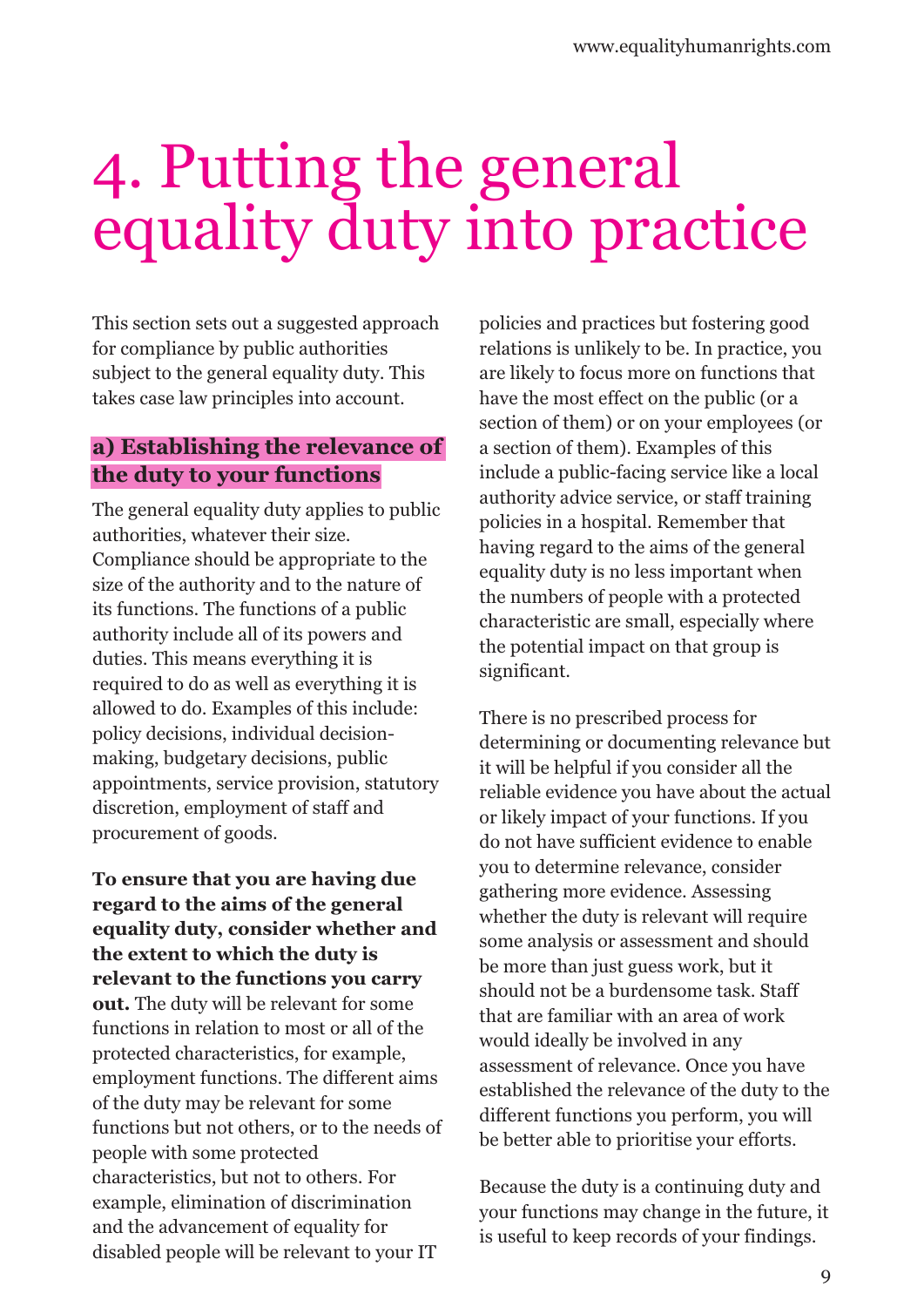## 4. Putting the general equality duty into practice

This section sets out a suggested approach for compliance by public authorities subject to the general equality duty. This takes case law principles into account.

#### **a) Establishing the relevance of the duty to your functions**

The general equality duty applies to public authorities, whatever their size. Compliance should be appropriate to the size of the authority and to the nature of its functions. The functions of a public authority include all of its powers and duties. This means everything it is required to do as well as everything it is allowed to do. Examples of this include: policy decisions, individual decisionmaking, budgetary decisions, public appointments, service provision, statutory discretion, employment of staff and procurement of goods.

**To ensure that you are having due regard to the aims of the general equality duty, consider whether and the extent to which the duty is relevant to the functions you carry out.** The duty will be relevant for some functions in relation to most or all of the protected characteristics, for example, employment functions. The different aims of the duty may be relevant for some functions but not others, or to the needs of people with some protected characteristics, but not to others. For example, elimination of discrimination and the advancement of equality for disabled people will be relevant to your IT

policies and practices but fostering good relations is unlikely to be. In practice, you are likely to focus more on functions that have the most effect on the public (or a section of them) or on your employees (or a section of them). Examples of this include a public-facing service like a local authority advice service, or staff training policies in a hospital. Remember that having regard to the aims of the general equality duty is no less important when the numbers of people with a protected characteristic are small, especially where the potential impact on that group is significant.

There is no prescribed process for determining or documenting relevance but it will be helpful if you consider all the reliable evidence you have about the actual or likely impact of your functions. If you do not have sufficient evidence to enable you to determine relevance, consider gathering more evidence. Assessing whether the duty is relevant will require some analysis or assessment and should be more than just guess work, but it should not be a burdensome task. Staff that are familiar with an area of work would ideally be involved in any assessment of relevance. Once you have established the relevance of the duty to the different functions you perform, you will be better able to prioritise your efforts.

Because the duty is a continuing duty and your functions may change in the future, it is useful to keep records of your findings.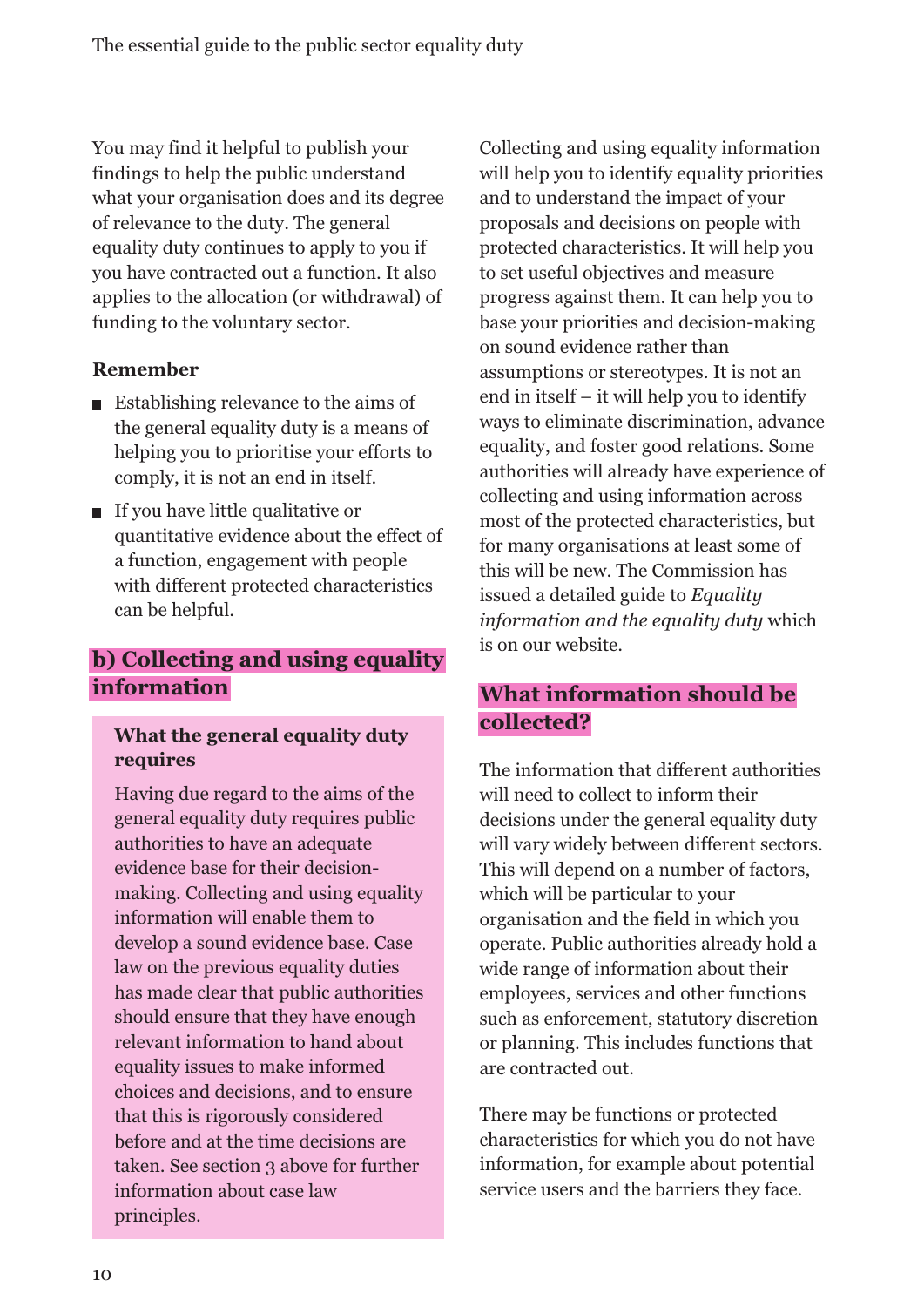You may find it helpful to publish your findings to help the public understand what your organisation does and its degree of relevance to the duty. The general equality duty continues to apply to you if you have contracted out a function. It also applies to the allocation (or withdrawal) of funding to the voluntary sector.

#### **Remember**

- Establishing relevance to the aims of the general equality duty is a means of helping you to prioritise your efforts to comply, it is not an end in itself.
- $\blacksquare$  If you have little qualitative or quantitative evidence about the effect of a function, engagement with people with different protected characteristics can be helpful.

#### **b) Collecting and using equality information**

#### **What the general equality duty requires**

Having due regard to the aims of the general equality duty requires public authorities to have an adequate evidence base for their decisionmaking. Collecting and using equality information will enable them to develop a sound evidence base. Case law on the previous equality duties has made clear that public authorities should ensure that they have enough relevant information to hand about equality issues to make informed choices and decisions, and to ensure that this is rigorously considered before and at the time decisions are taken. See section 3 above for further information about case law principles.

Collecting and using equality information will help you to identify equality priorities and to understand the impact of your proposals and decisions on people with protected characteristics. It will help you to set useful objectives and measure progress against them. It can help you to base your priorities and decision-making on sound evidence rather than assumptions or stereotypes. It is not an end in itself – it will help you to identify ways to eliminate discrimination, advance equality, and foster good relations. Some authorities will already have experience of collecting and using information across most of the protected characteristics, but for many organisations at least some of this will be new. The Commission has issued a detailed guide to *Equality information and the equality duty* which is on our website.

#### **What information should be collected?**

The information that different authorities will need to collect to inform their decisions under the general equality duty will vary widely between different sectors. This will depend on a number of factors, which will be particular to your organisation and the field in which you operate. Public authorities already hold a wide range of information about their employees, services and other functions such as enforcement, statutory discretion or planning. This includes functions that are contracted out.

There may be functions or protected characteristics for which you do not have information, for example about potential service users and the barriers they face.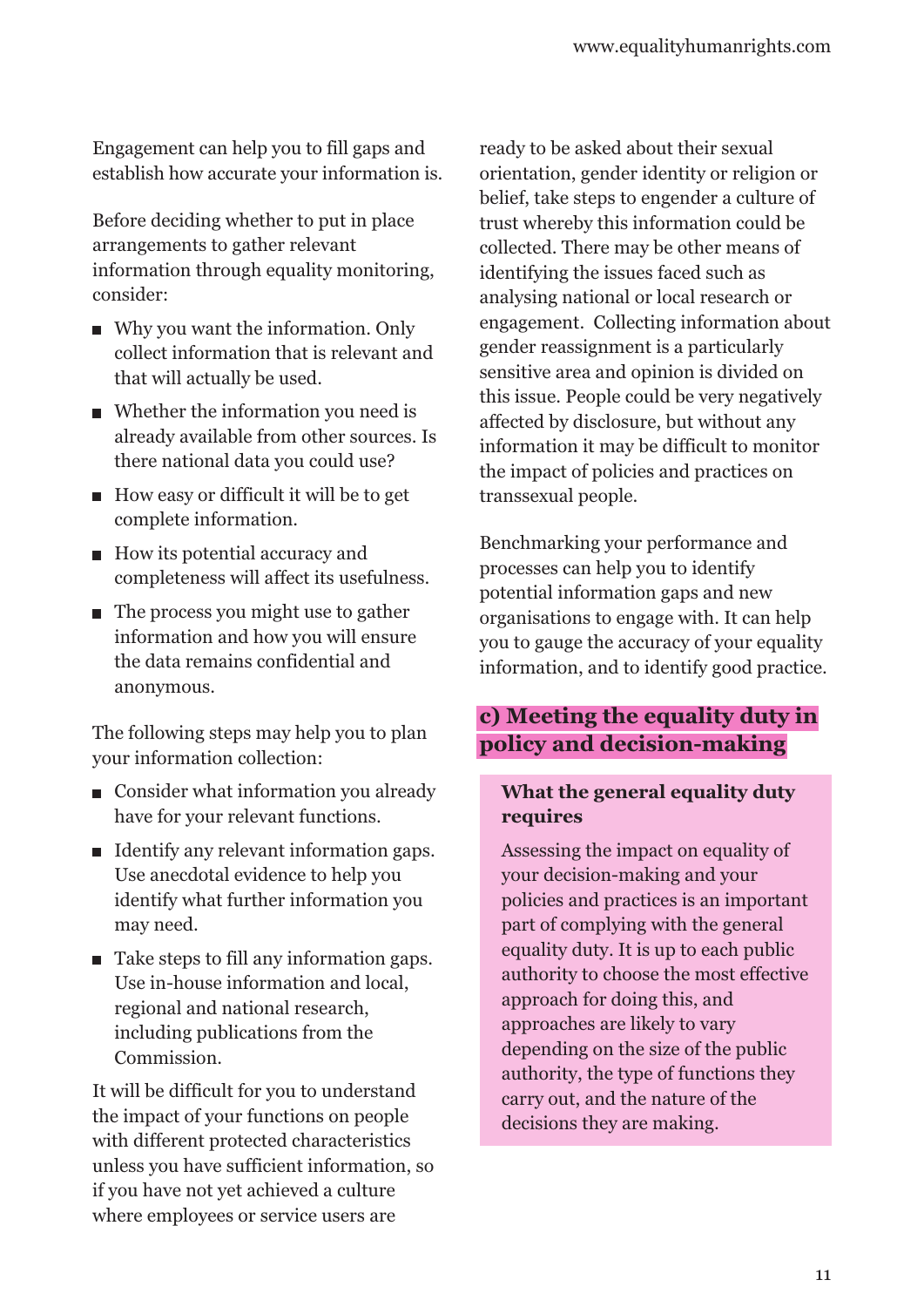Engagement can help you to fill gaps and establish how accurate your information is.

Before deciding whether to put in place arrangements to gather relevant information through equality monitoring, consider:

- Why you want the information. Only collect information that is relevant and that will actually be used.
- Whether the information you need is already available from other sources. Is there national data you could use?
- How easy or difficult it will be to get complete information.
- $\blacksquare$  How its potential accuracy and completeness will affect its usefulness.
- $\blacksquare$  The process you might use to gather information and how you will ensure the data remains confidential and anonymous.

The following steps may help you to plan your information collection:

- Consider what information you already have for your relevant functions.
- Identify any relevant information gaps. Use anecdotal evidence to help you identify what further information you may need.
- Take steps to fill any information gaps. Use in-house information and local, regional and national research, including publications from the Commission.

It will be difficult for you to understand the impact of your functions on people with different protected characteristics unless you have sufficient information, so if you have not yet achieved a culture where employees or service users are

ready to be asked about their sexual orientation, gender identity or religion or belief, take steps to engender a culture of trust whereby this information could be collected. There may be other means of identifying the issues faced such as analysing national or local research or engagement. Collecting information about gender reassignment is a particularly sensitive area and opinion is divided on this issue. People could be very negatively affected by disclosure, but without any information it may be difficult to monitor the impact of policies and practices on transsexual people.

Benchmarking your performance and processes can help you to identify potential information gaps and new organisations to engage with. It can help you to gauge the accuracy of your equality information, and to identify good practice.

#### **c) Meeting the equality duty in policy and decision-making**

#### **What the general equality duty requires**

Assessing the impact on equality of your decision-making and your policies and practices is an important part of complying with the general equality duty. It is up to each public authority to choose the most effective approach for doing this, and approaches are likely to vary depending on the size of the public authority, the type of functions they carry out, and the nature of the decisions they are making.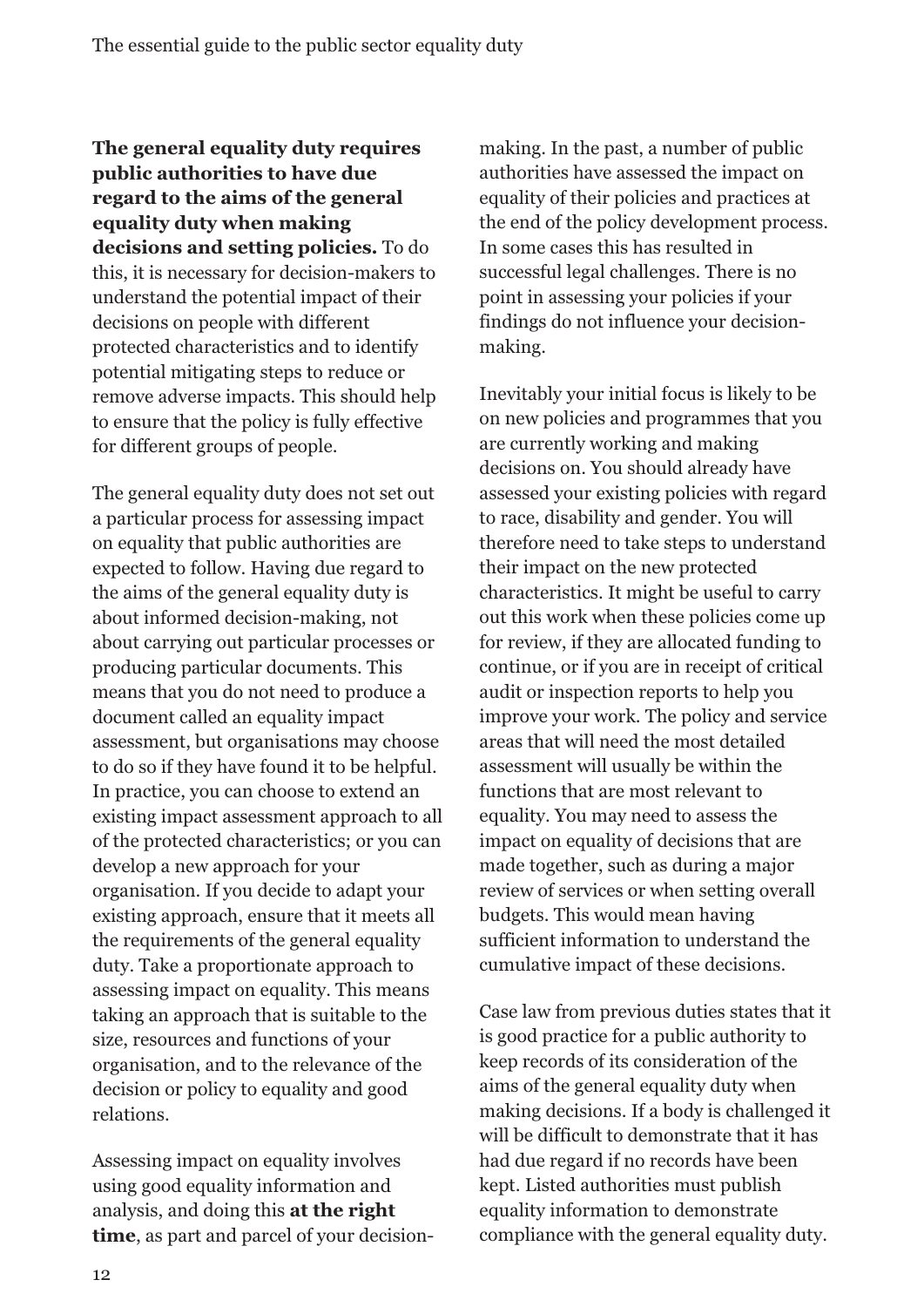**The general equality duty requires public authorities to have due regard to the aims of the general equality duty when making decisions and setting policies.** To do this, it is necessary for decision-makers to understand the potential impact of their decisions on people with different protected characteristics and to identify potential mitigating steps to reduce or remove adverse impacts. This should help to ensure that the policy is fully effective for different groups of people.

The general equality duty does not set out a particular process for assessing impact on equality that public authorities are expected to follow. Having due regard to the aims of the general equality duty is about informed decision-making, not about carrying out particular processes or producing particular documents. This means that you do not need to produce a document called an equality impact assessment, but organisations may choose to do so if they have found it to be helpful. In practice, you can choose to extend an existing impact assessment approach to all of the protected characteristics; or you can develop a new approach for your organisation. If you decide to adapt your existing approach, ensure that it meets all the requirements of the general equality duty. Take a proportionate approach to assessing impact on equality. This means taking an approach that is suitable to the size, resources and functions of your organisation, and to the relevance of the decision or policy to equality and good relations.

Assessing impact on equality involves using good equality information and analysis, and doing this **at the right time**, as part and parcel of your decisionmaking. In the past, a number of public authorities have assessed the impact on equality of their policies and practices at the end of the policy development process. In some cases this has resulted in successful legal challenges. There is no point in assessing your policies if your findings do not influence your decisionmaking.

Inevitably your initial focus is likely to be on new policies and programmes that you are currently working and making decisions on. You should already have assessed your existing policies with regard to race, disability and gender. You will therefore need to take steps to understand their impact on the new protected characteristics. It might be useful to carry out this work when these policies come up for review, if they are allocated funding to continue, or if you are in receipt of critical audit or inspection reports to help you improve your work. The policy and service areas that will need the most detailed assessment will usually be within the functions that are most relevant to equality. You may need to assess the impact on equality of decisions that are made together, such as during a major review of services or when setting overall budgets. This would mean having sufficient information to understand the cumulative impact of these decisions.

Case law from previous duties states that it is good practice for a public authority to keep records of its consideration of the aims of the general equality duty when making decisions. If a body is challenged it will be difficult to demonstrate that it has had due regard if no records have been kept. Listed authorities must publish equality information to demonstrate compliance with the general equality duty.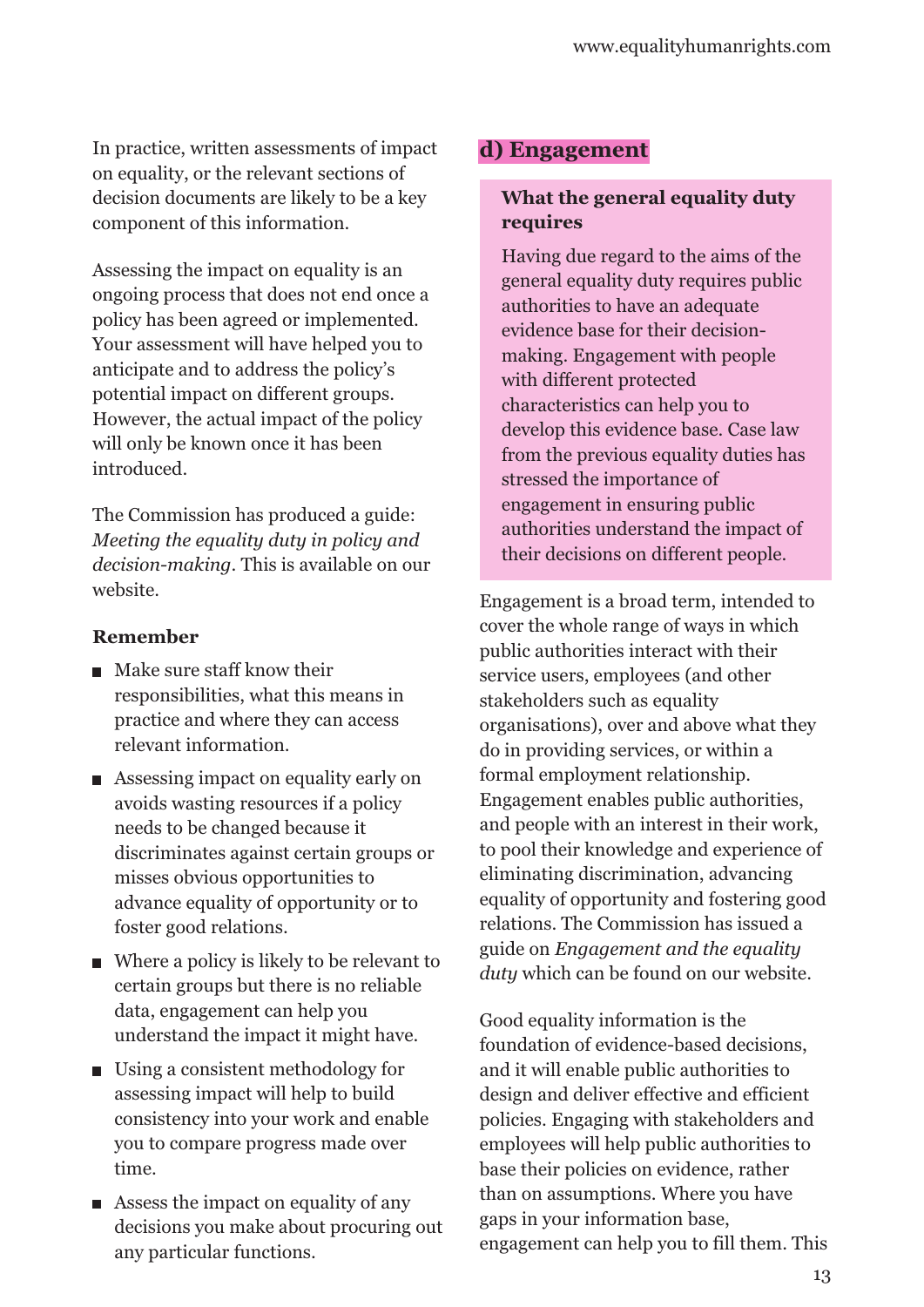In practice, written assessments of impact on equality, or the relevant sections of decision documents are likely to be a key component of this information.

Assessing the impact on equality is an ongoing process that does not end once a policy has been agreed or implemented. Your assessment will have helped you to anticipate and to address the policy's potential impact on different groups. However, the actual impact of the policy will only be known once it has been introduced.

The Commission has produced a guide: *Meeting the equality duty in policy and decision-making*. This is available on our website.

#### **Remember**

- $\blacksquare$  Make sure staff know their responsibilities, what this means in practice and where they can access relevant information.
- Assessing impact on equality early on avoids wasting resources if a policy needs to be changed because it discriminates against certain groups or misses obvious opportunities to advance equality of opportunity or to foster good relations.
- Where a policy is likely to be relevant to certain groups but there is no reliable data, engagement can help you understand the impact it might have.
- Using a consistent methodology for assessing impact will help to build consistency into your work and enable you to compare progress made over time.
- Assess the impact on equality of any decisions you make about procuring out any particular functions.

#### **d) Engagement**

#### **What the general equality duty requires**

Having due regard to the aims of the general equality duty requires public authorities to have an adequate evidence base for their decisionmaking. Engagement with people with different protected characteristics can help you to develop this evidence base. Case law from the previous equality duties has stressed the importance of engagement in ensuring public authorities understand the impact of their decisions on different people.

Engagement is a broad term, intended to cover the whole range of ways in which public authorities interact with their service users, employees (and other stakeholders such as equality organisations), over and above what they do in providing services, or within a formal employment relationship. Engagement enables public authorities, and people with an interest in their work, to pool their knowledge and experience of eliminating discrimination, advancing equality of opportunity and fostering good relations. The Commission has issued a guide on *Engagement and the equality duty* which can be found on our website.

Good equality information is the foundation of evidence-based decisions, and it will enable public authorities to design and deliver effective and efficient policies. Engaging with stakeholders and employees will help public authorities to base their policies on evidence, rather than on assumptions. Where you have gaps in your information base, engagement can help you to fill them. This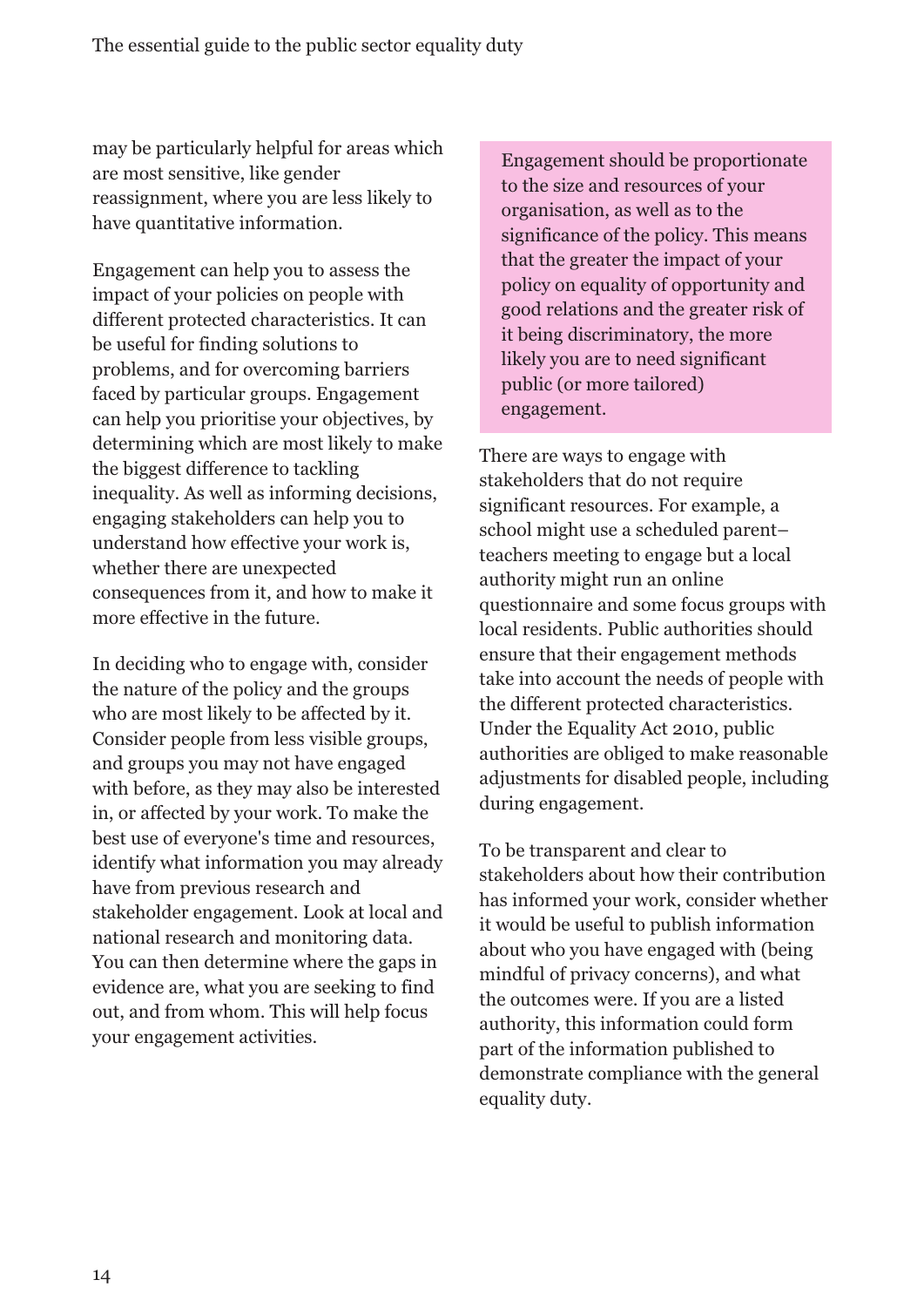may be particularly helpful for areas which are most sensitive, like gender reassignment, where you are less likely to have quantitative information.

Engagement can help you to assess the impact of your policies on people with different protected characteristics. It can be useful for finding solutions to problems, and for overcoming barriers faced by particular groups. Engagement can help you prioritise your objectives, by determining which are most likely to make the biggest difference to tackling inequality. As well as informing decisions, engaging stakeholders can help you to understand how effective your work is, whether there are unexpected consequences from it, and how to make it more effective in the future.

In deciding who to engage with, consider the nature of the policy and the groups who are most likely to be affected by it. Consider people from less visible groups, and groups you may not have engaged with before, as they may also be interested in, or affected by your work. To make the best use of everyone's time and resources, identify what information you may already have from previous research and stakeholder engagement. Look at local and national research and monitoring data. You can then determine where the gaps in evidence are, what you are seeking to find out, and from whom. This will help focus your engagement activities.

Engagement should be proportionate to the size and resources of your organisation, as well as to the significance of the policy. This means that the greater the impact of your policy on equality of opportunity and good relations and the greater risk of it being discriminatory, the more likely you are to need significant public (or more tailored) engagement.

There are ways to engage with stakeholders that do not require significant resources. For example, a school might use a scheduled parent– teachers meeting to engage but a local authority might run an online questionnaire and some focus groups with local residents. Public authorities should ensure that their engagement methods take into account the needs of people with the different protected characteristics. Under the Equality Act 2010, public authorities are obliged to make reasonable adjustments for disabled people, including during engagement.

To be transparent and clear to stakeholders about how their contribution has informed your work, consider whether it would be useful to publish information about who you have engaged with (being mindful of privacy concerns), and what the outcomes were. If you are a listed authority, this information could form part of the information published to demonstrate compliance with the general equality duty.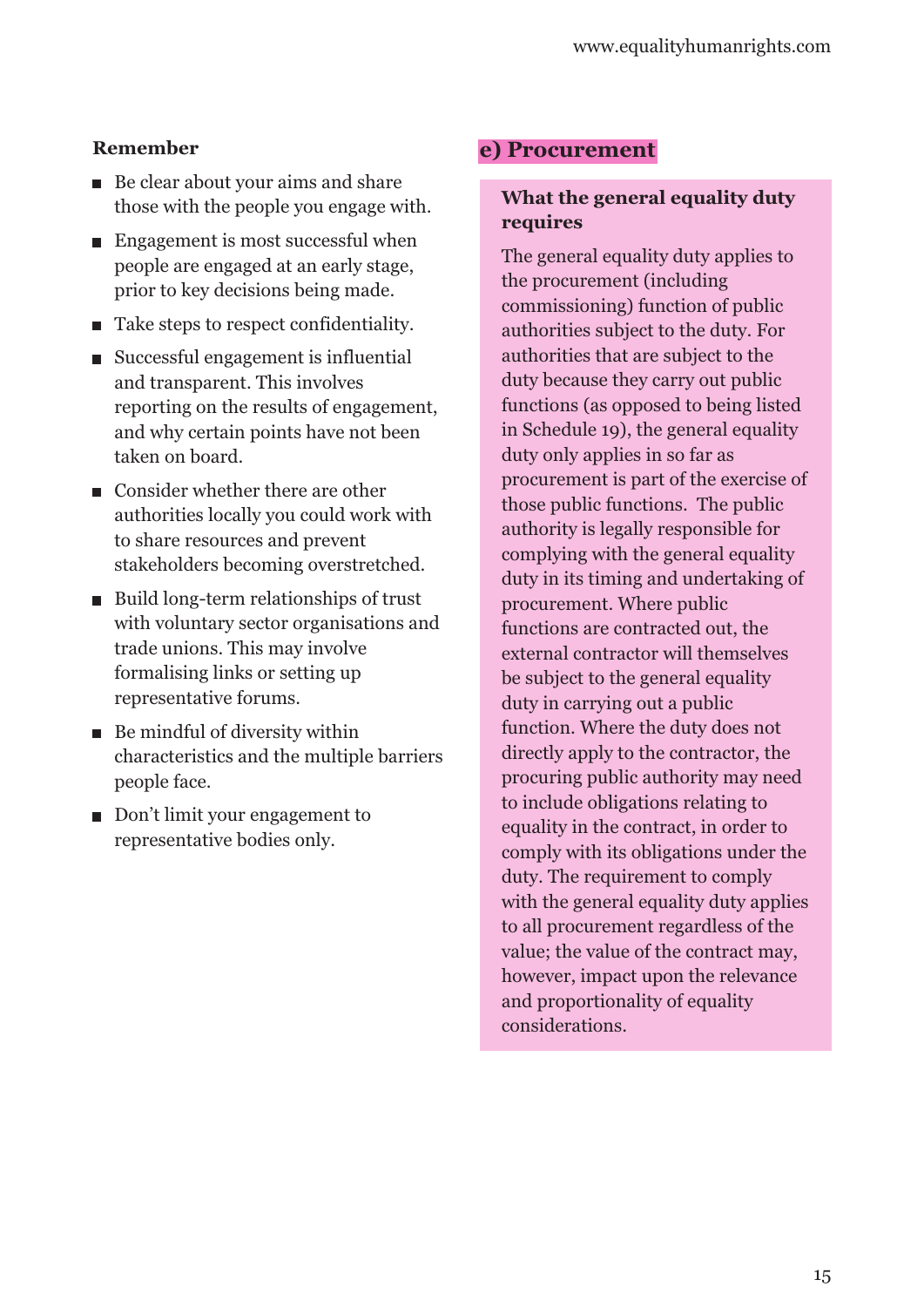#### **Remember**

- Be clear about your aims and share those with the people you engage with.
- $\blacksquare$  Engagement is most successful when people are engaged at an early stage, prior to key decisions being made.
- Take steps to respect confidentiality.
- $\blacksquare$  Successful engagement is influential and transparent. This involves reporting on the results of engagement, and why certain points have not been taken on board.
- Consider whether there are other authorities locally you could work with to share resources and prevent stakeholders becoming overstretched.
- Build long-term relationships of trust with voluntary sector organisations and trade unions. This may involve formalising links or setting up representative forums.
- $\blacksquare$  Be mindful of diversity within characteristics and the multiple barriers people face.
- Don't limit your engagement to representative bodies only.

#### **e) Procurement**

#### **What the general equality duty requires**

The general equality duty applies to the procurement (including commissioning) function of public authorities subject to the duty. For authorities that are subject to the duty because they carry out public functions (as opposed to being listed in Schedule 19), the general equality duty only applies in so far as procurement is part of the exercise of those public functions. The public authority is legally responsible for complying with the general equality duty in its timing and undertaking of procurement. Where public functions are contracted out, the external contractor will themselves be subject to the general equality duty in carrying out a public function. Where the duty does not directly apply to the contractor, the procuring public authority may need to include obligations relating to equality in the contract, in order to comply with its obligations under the duty. The requirement to comply with the general equality duty applies to all procurement regardless of the value; the value of the contract may, however, impact upon the relevance and proportionality of equality considerations.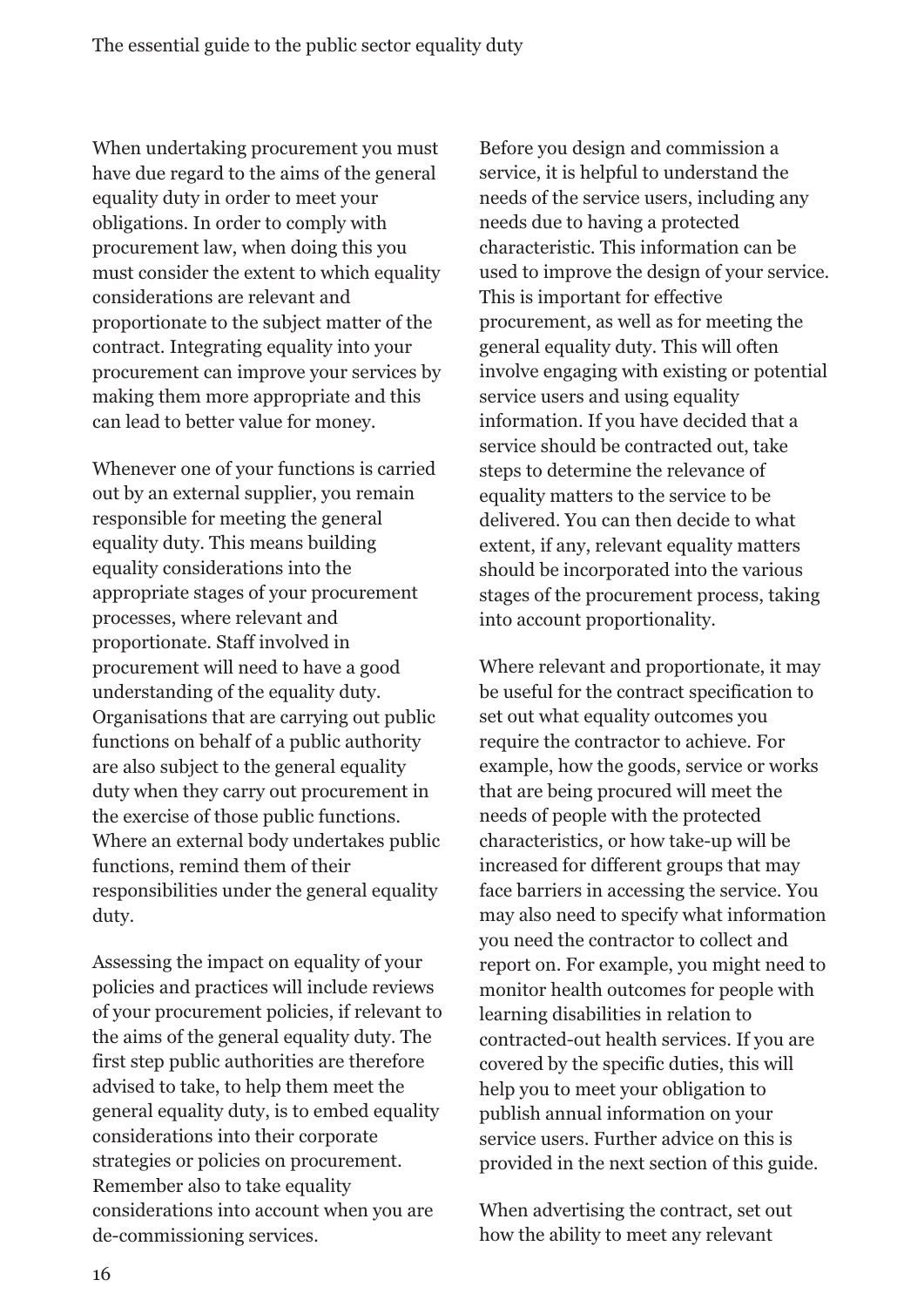When undertaking procurement you must have due regard to the aims of the general equality duty in order to meet your obligations. In order to comply with procurement law, when doing this you must consider the extent to which equality considerations are relevant and proportionate to the subject matter of the contract. Integrating equality into your procurement can improve your services by making them more appropriate and this can lead to better value for money.

Whenever one of your functions is carried out by an external supplier, you remain responsible for meeting the general equality duty. This means building equality considerations into the appropriate stages of your procurement processes, where relevant and proportionate. Staff involved in procurement will need to have a good understanding of the equality duty. Organisations that are carrying out public functions on behalf of a public authority are also subject to the general equality duty when they carry out procurement in the exercise of those public functions. Where an external body undertakes public functions, remind them of their responsibilities under the general equality duty.

Assessing the impact on equality of your policies and practices will include reviews of your procurement policies, if relevant to the aims of the general equality duty. The first step public authorities are therefore advised to take, to help them meet the general equality duty, is to embed equality considerations into their corporate strategies or policies on procurement. Remember also to take equality considerations into account when you are de-commissioning services.

Before you design and commission a service, it is helpful to understand the needs of the service users, including any needs due to having a protected characteristic. This information can be used to improve the design of your service. This is important for effective procurement, as well as for meeting the general equality duty. This will often involve engaging with existing or potential service users and using equality information. If you have decided that a service should be contracted out, take steps to determine the relevance of equality matters to the service to be delivered. You can then decide to what extent, if any, relevant equality matters should be incorporated into the various stages of the procurement process, taking into account proportionality.

Where relevant and proportionate, it may be useful for the contract specification to set out what equality outcomes you require the contractor to achieve. For example, how the goods, service or works that are being procured will meet the needs of people with the protected characteristics, or how take-up will be increased for different groups that may face barriers in accessing the service. You may also need to specify what information you need the contractor to collect and report on. For example, you might need to monitor health outcomes for people with learning disabilities in relation to contracted-out health services. If you are covered by the specific duties, this will help you to meet your obligation to publish annual information on your service users. Further advice on this is provided in the next section of this guide.

When advertising the contract, set out how the ability to meet any relevant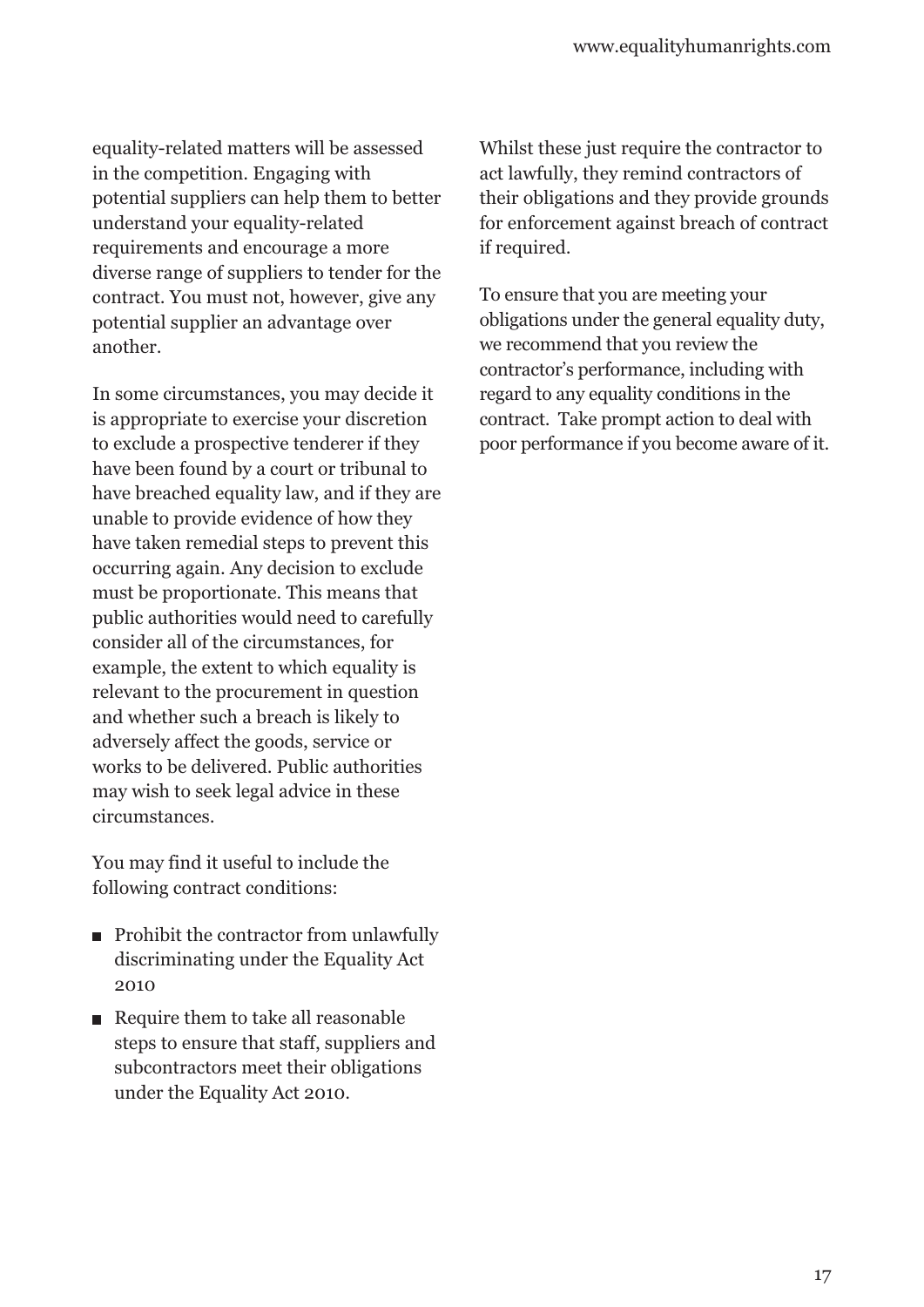equality-related matters will be assessed in the competition. Engaging with potential suppliers can help them to better understand your equality-related requirements and encourage a more diverse range of suppliers to tender for the contract. You must not, however, give any potential supplier an advantage over another.

In some circumstances, you may decide it is appropriate to exercise your discretion to exclude a prospective tenderer if they have been found by a court or tribunal to have breached equality law, and if they are unable to provide evidence of how they have taken remedial steps to prevent this occurring again. Any decision to exclude must be proportionate. This means that public authorities would need to carefully consider all of the circumstances, for example, the extent to which equality is relevant to the procurement in question and whether such a breach is likely to adversely affect the goods, service or works to be delivered. Public authorities may wish to seek legal advice in these circumstances.

You may find it useful to include the following contract conditions:

- Prohibit the contractor from unlawfully discriminating under the Equality Act 2010
- Require them to take all reasonable steps to ensure that staff, suppliers and subcontractors meet their obligations under the Equality Act 2010.

Whilst these just require the contractor to act lawfully, they remind contractors of their obligations and they provide grounds for enforcement against breach of contract if required.

To ensure that you are meeting your obligations under the general equality duty, we recommend that you review the contractor's performance, including with regard to any equality conditions in the contract. Take prompt action to deal with poor performance if you become aware of it.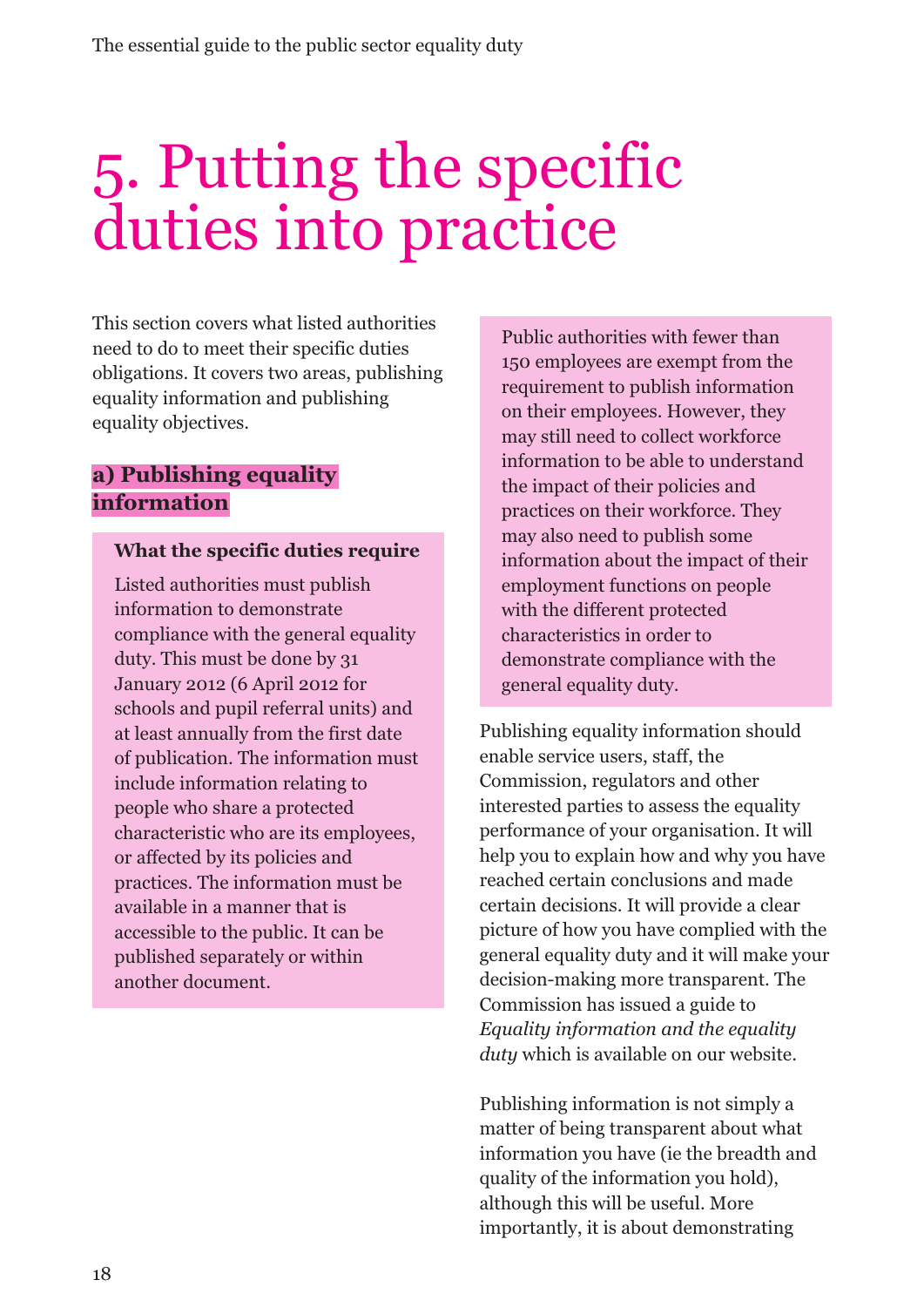### 5. Putting the specific duties into practice

This section covers what listed authorities need to do to meet their specific duties obligations. It covers two areas, publishing equality information and publishing equality objectives.

#### **a) Publishing equality information**

#### **What the specific duties require**

Listed authorities must publish information to demonstrate compliance with the general equality duty. This must be done by 31 January 2012 (6 April 2012 for schools and pupil referral units) and at least annually from the first date of publication. The information must include information relating to people who share a protected characteristic who are its employees, or affected by its policies and practices. The information must be available in a manner that is accessible to the public. It can be published separately or within another document.

Public authorities with fewer than 150 employees are exempt from the requirement to publish information on their employees. However, they may still need to collect workforce information to be able to understand the impact of their policies and practices on their workforce. They may also need to publish some information about the impact of their employment functions on people with the different protected characteristics in order to demonstrate compliance with the general equality duty.

Publishing equality information should enable service users, staff, the Commission, regulators and other interested parties to assess the equality performance of your organisation. It will help you to explain how and why you have reached certain conclusions and made certain decisions. It will provide a clear picture of how you have complied with the general equality duty and it will make your decision-making more transparent. The Commission has issued a guide to *Equality information and the equality duty* which is available on our website.

Publishing information is not simply a matter of being transparent about what information you have (ie the breadth and quality of the information you hold), although this will be useful. More importantly, it is about demonstrating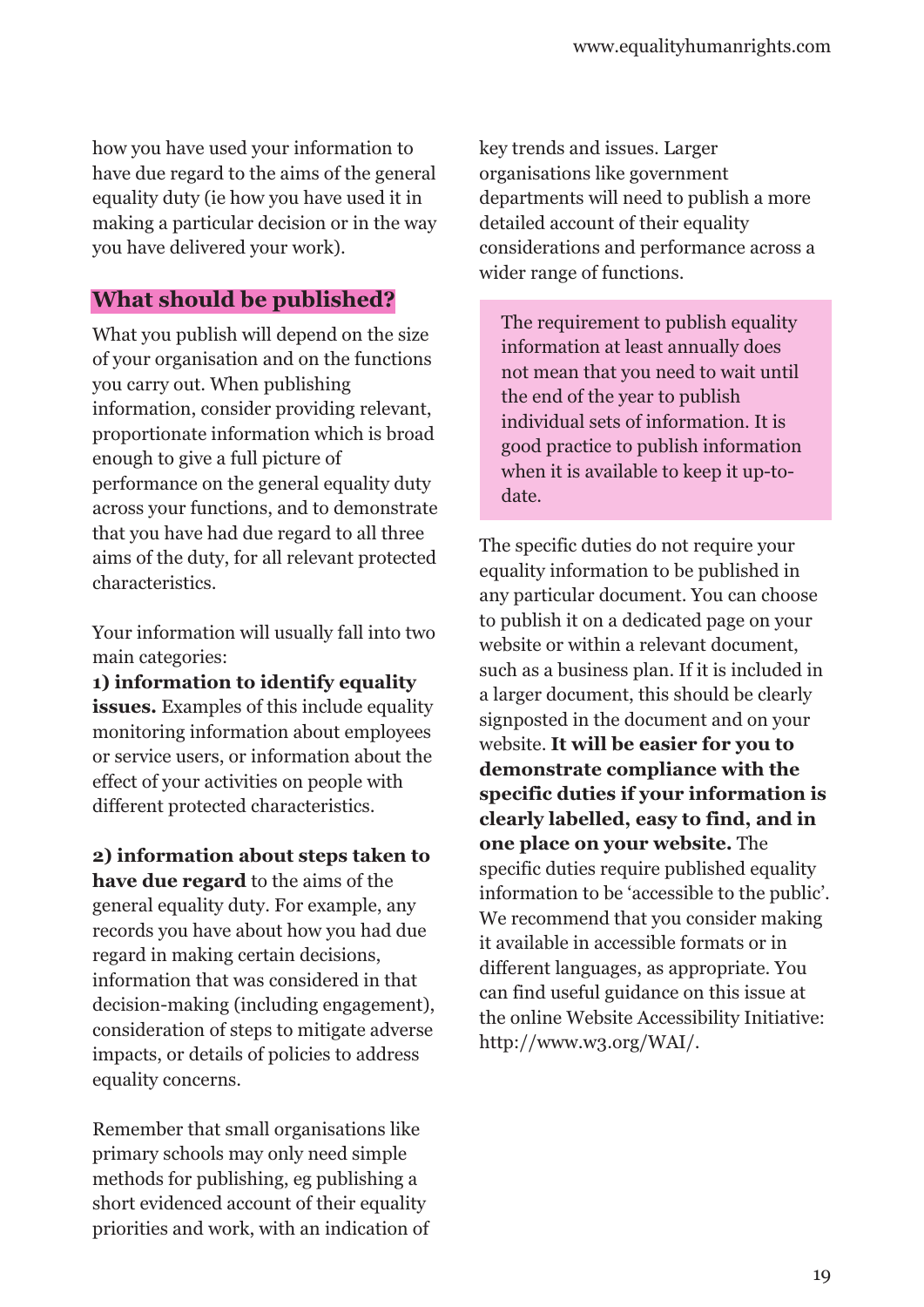how you have used your information to have due regard to the aims of the general equality duty (ie how you have used it in making a particular decision or in the way you have delivered your work).

#### **What should be published?**

What you publish will depend on the size of your organisation and on the functions you carry out. When publishing information, consider providing relevant, proportionate information which is broad enough to give a full picture of performance on the general equality duty across your functions, and to demonstrate that you have had due regard to all three aims of the duty, for all relevant protected characteristics.

Your information will usually fall into two main categories:

**1) information to identify equality issues.** Examples of this include equality monitoring information about employees or service users, or information about the effect of your activities on people with different protected characteristics.

**2) information about steps taken to have due regard** to the aims of the general equality duty. For example, any records you have about how you had due regard in making certain decisions, information that was considered in that decision-making (including engagement), consideration of steps to mitigate adverse impacts, or details of policies to address equality concerns.

Remember that small organisations like primary schools may only need simple methods for publishing, eg publishing a short evidenced account of their equality priorities and work, with an indication of key trends and issues. Larger organisations like government departments will need to publish a more detailed account of their equality considerations and performance across a wider range of functions.

The requirement to publish equality information at least annually does not mean that you need to wait until the end of the year to publish individual sets of information. It is good practice to publish information when it is available to keep it up-todate.

The specific duties do not require your equality information to be published in any particular document. You can choose to publish it on a dedicated page on your website or within a relevant document, such as a business plan. If it is included in a larger document, this should be clearly signposted in the document and on your website. **It will be easier for you to demonstrate compliance with the specific duties if your information is clearly labelled, easy to find, and in one place on your website.** The specific duties require published equality information to be 'accessible to the public'. We recommend that you consider making it available in accessible formats or in different languages, as appropriate. You can find useful guidance on this issue at the online Website Accessibility Initiative: [http://www.w3.org/WAI/.](http://www.w3.org/WAI/)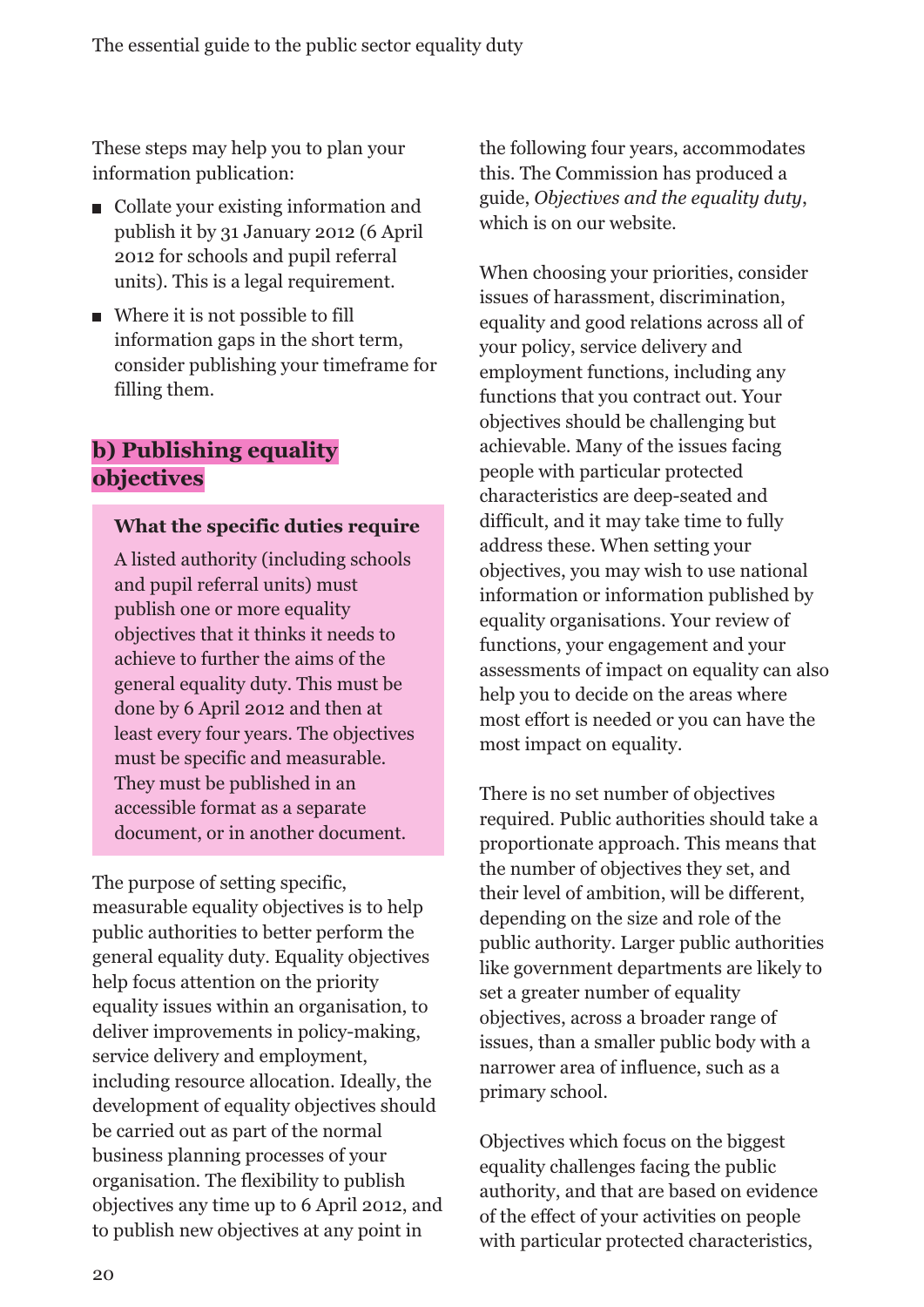These steps may help you to plan your information publication:

- Collate your existing information and publish it by 31 January 2012 (6 April 2012 for schools and pupil referral units). This is a legal requirement.
- Where it is not possible to fill information gaps in the short term, consider publishing your timeframe for filling them.

#### **b) Publishing equality objectives**

#### **What the specific duties require**

A listed authority (including schools and pupil referral units) must publish one or more equality objectives that it thinks it needs to achieve to further the aims of the general equality duty. This must be done by 6 April 2012 and then at least every four years. The objectives must be specific and measurable. They must be published in an accessible format as a separate document, or in another document.

The purpose of setting specific, measurable equality objectives is to help public authorities to better perform the general equality duty. Equality objectives help focus attention on the priority equality issues within an organisation, to deliver improvements in policy-making, service delivery and employment, including resource allocation. Ideally, the development of equality objectives should be carried out as part of the normal business planning processes of your organisation. The flexibility to publish objectives any time up to 6 April 2012, and to publish new objectives at any point in

the following four years, accommodates this. The Commission has produced a guide, *Objectives and the equality duty*, which is on our website.

When choosing your priorities, consider issues of harassment, discrimination, equality and good relations across all of your policy, service delivery and employment functions, including any functions that you contract out. Your objectives should be challenging but achievable. Many of the issues facing people with particular protected characteristics are deep-seated and difficult, and it may take time to fully address these. When setting your objectives, you may wish to use national information or information published by equality organisations. Your review of functions, your engagement and your assessments of impact on equality can also help you to decide on the areas where most effort is needed or you can have the most impact on equality.

There is no set number of objectives required. Public authorities should take a proportionate approach. This means that the number of objectives they set, and their level of ambition, will be different, depending on the size and role of the public authority. Larger public authorities like government departments are likely to set a greater number of equality objectives, across a broader range of issues, than a smaller public body with a narrower area of influence, such as a primary school.

Objectives which focus on the biggest equality challenges facing the public authority, and that are based on evidence of the effect of your activities on people with particular protected characteristics,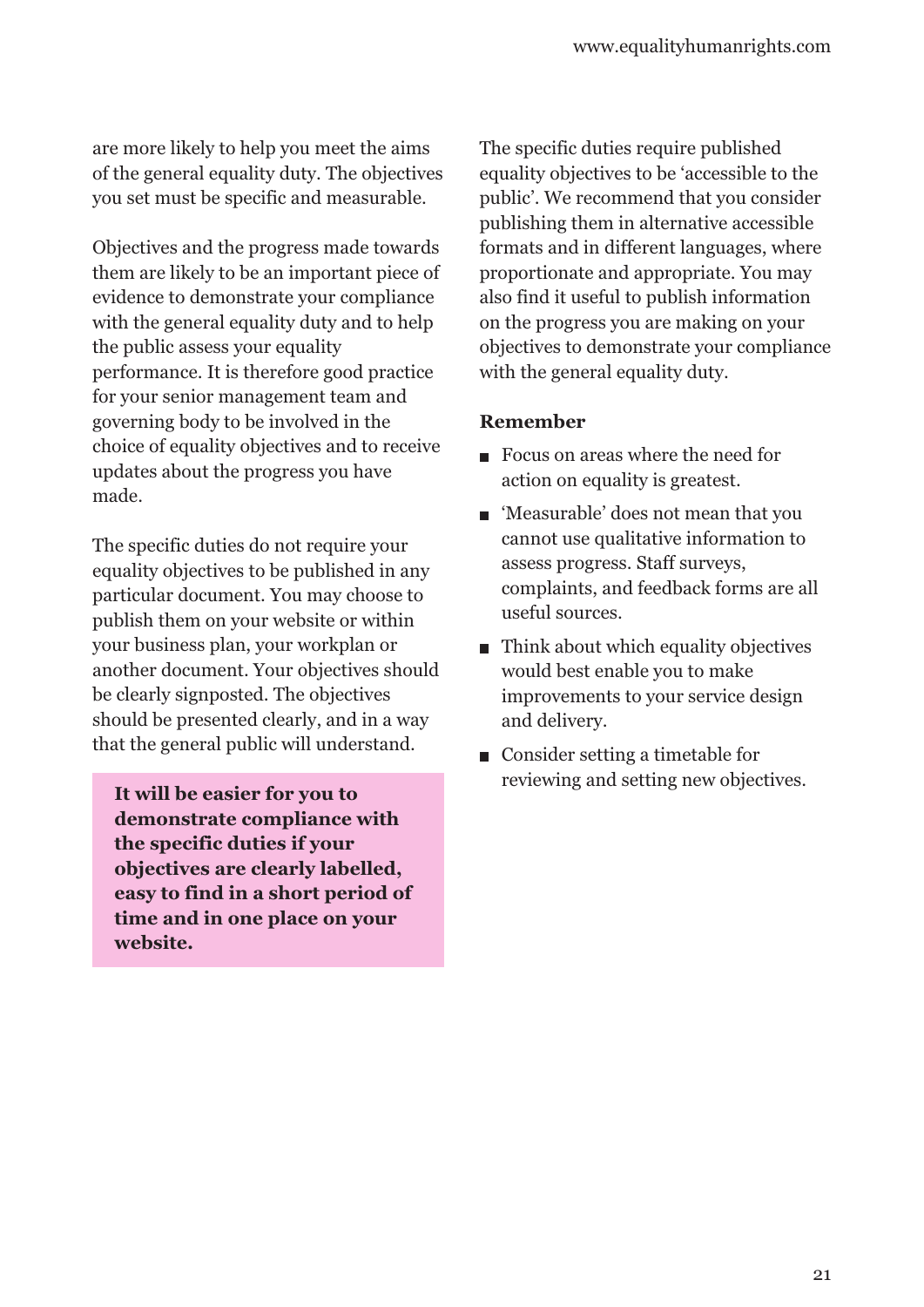are more likely to help you meet the aims of the general equality duty. The objectives you set must be specific and measurable.

Objectives and the progress made towards them are likely to be an important piece of evidence to demonstrate your compliance with the general equality duty and to help the public assess your equality performance. It is therefore good practice for your senior management team and governing body to be involved in the choice of equality objectives and to receive updates about the progress you have made.

The specific duties do not require your equality objectives to be published in any particular document. You may choose to publish them on your website or within your business plan, your workplan or another document. Your objectives should be clearly signposted. The objectives should be presented clearly, and in a way that the general public will understand.

**It will be easier for you to demonstrate compliance with the specific duties if your objectives are clearly labelled, easy to find in a short period of time and in one place on your website.** 

The specific duties require published equality objectives to be 'accessible to the public'. We recommend that you consider publishing them in alternative accessible formats and in different languages, where proportionate and appropriate. You may also find it useful to publish information on the progress you are making on your objectives to demonstrate your compliance with the general equality duty.

#### **Remember**

- Focus on areas where the need for action on equality is greatest.
- 'Measurable' does not mean that you cannot use qualitative information to assess progress. Staff surveys, complaints, and feedback forms are all useful sources.
- $\blacksquare$  Think about which equality objectives would best enable you to make improvements to your service design and delivery.
- Consider setting a timetable for reviewing and setting new objectives.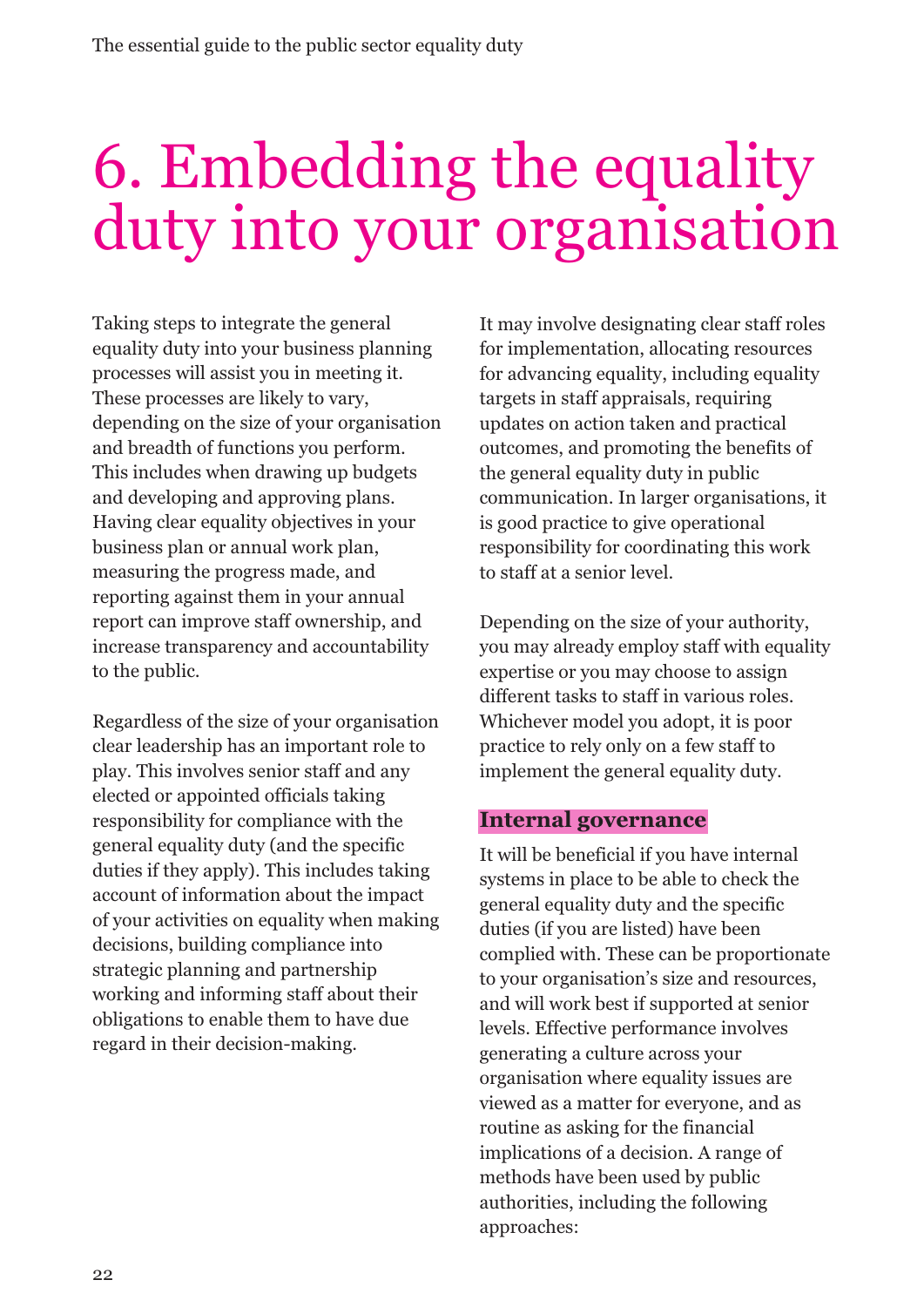## 6. Embedding the equality duty into your organisation

Taking steps to integrate the general equality duty into your business planning processes will assist you in meeting it. These processes are likely to vary, depending on the size of your organisation and breadth of functions you perform. This includes when drawing up budgets and developing and approving plans. Having clear equality objectives in your business plan or annual work plan, measuring the progress made, and reporting against them in your annual report can improve staff ownership, and increase transparency and accountability to the public.

Regardless of the size of your organisation clear leadership has an important role to play. This involves senior staff and any elected or appointed officials taking responsibility for compliance with the general equality duty (and the specific duties if they apply). This includes taking account of information about the impact of your activities on equality when making decisions, building compliance into strategic planning and partnership working and informing staff about their obligations to enable them to have due regard in their decision-making.

It may involve designating clear staff roles for implementation, allocating resources for advancing equality, including equality targets in staff appraisals, requiring updates on action taken and practical outcomes, and promoting the benefits of the general equality duty in public communication. In larger organisations, it is good practice to give operational responsibility for coordinating this work to staff at a senior level.

Depending on the size of your authority, you may already employ staff with equality expertise or you may choose to assign different tasks to staff in various roles. Whichever model you adopt, it is poor practice to rely only on a few staff to implement the general equality duty.

#### **Internal governance**

It will be beneficial if you have internal systems in place to be able to check the general equality duty and the specific duties (if you are listed) have been complied with. These can be proportionate to your organisation's size and resources, and will work best if supported at senior levels. Effective performance involves generating a culture across your organisation where equality issues are viewed as a matter for everyone, and as routine as asking for the financial implications of a decision. A range of methods have been used by public authorities, including the following approaches: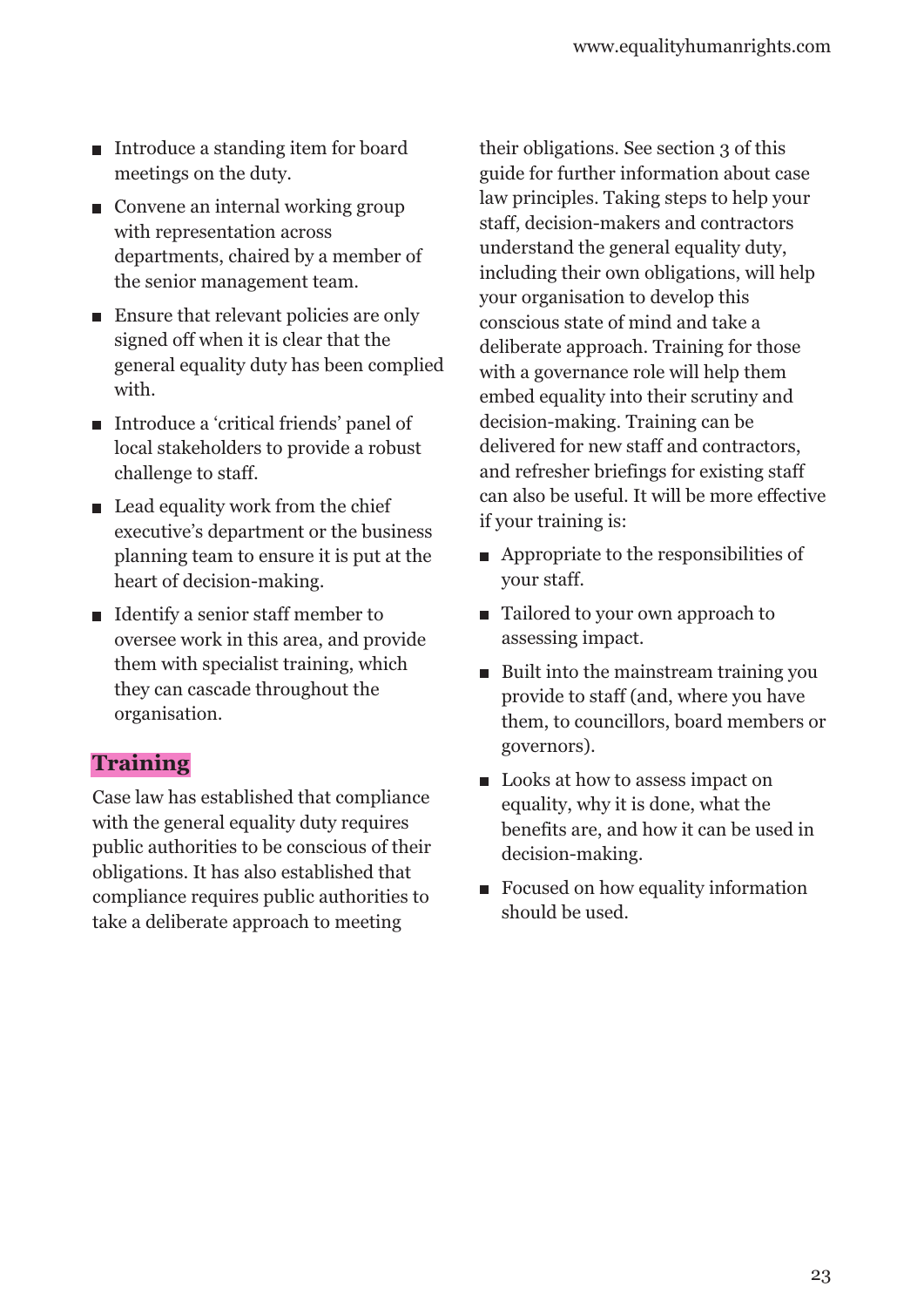- $\blacksquare$  Introduce a standing item for board meetings on the duty.
- Convene an internal working group with representation across departments, chaired by a member of the senior management team.
- Ensure that relevant policies are only signed off when it is clear that the general equality duty has been complied with.
- Introduce a 'critical friends' panel of local stakeholders to provide a robust challenge to staff.
- $\blacksquare$  Lead equality work from the chief executive's department or the business planning team to ensure it is put at the heart of decision-making.
- **IDENTIFY** a senior staff member to oversee work in this area, and provide them with specialist training, which they can cascade throughout the organisation.

#### **Training**

Case law has established that compliance with the general equality duty requires public authorities to be conscious of their obligations. It has also established that compliance requires public authorities to take a deliberate approach to meeting

their obligations. See section 3 of this guide for further information about case law principles. Taking steps to help your staff, decision-makers and contractors understand the general equality duty, including their own obligations, will help your organisation to develop this conscious state of mind and take a deliberate approach. Training for those with a governance role will help them embed equality into their scrutiny and decision-making. Training can be delivered for new staff and contractors, and refresher briefings for existing staff can also be useful. It will be more effective if your training is:

- Appropriate to the responsibilities of your staff.
- Tailored to your own approach to assessing impact.
- Built into the mainstream training you provide to staff (and, where you have them, to councillors, board members or governors).
- **Looks at how to assess impact on** equality, why it is done, what the benefits are, and how it can be used in decision-making.
- Focused on how equality information should be used.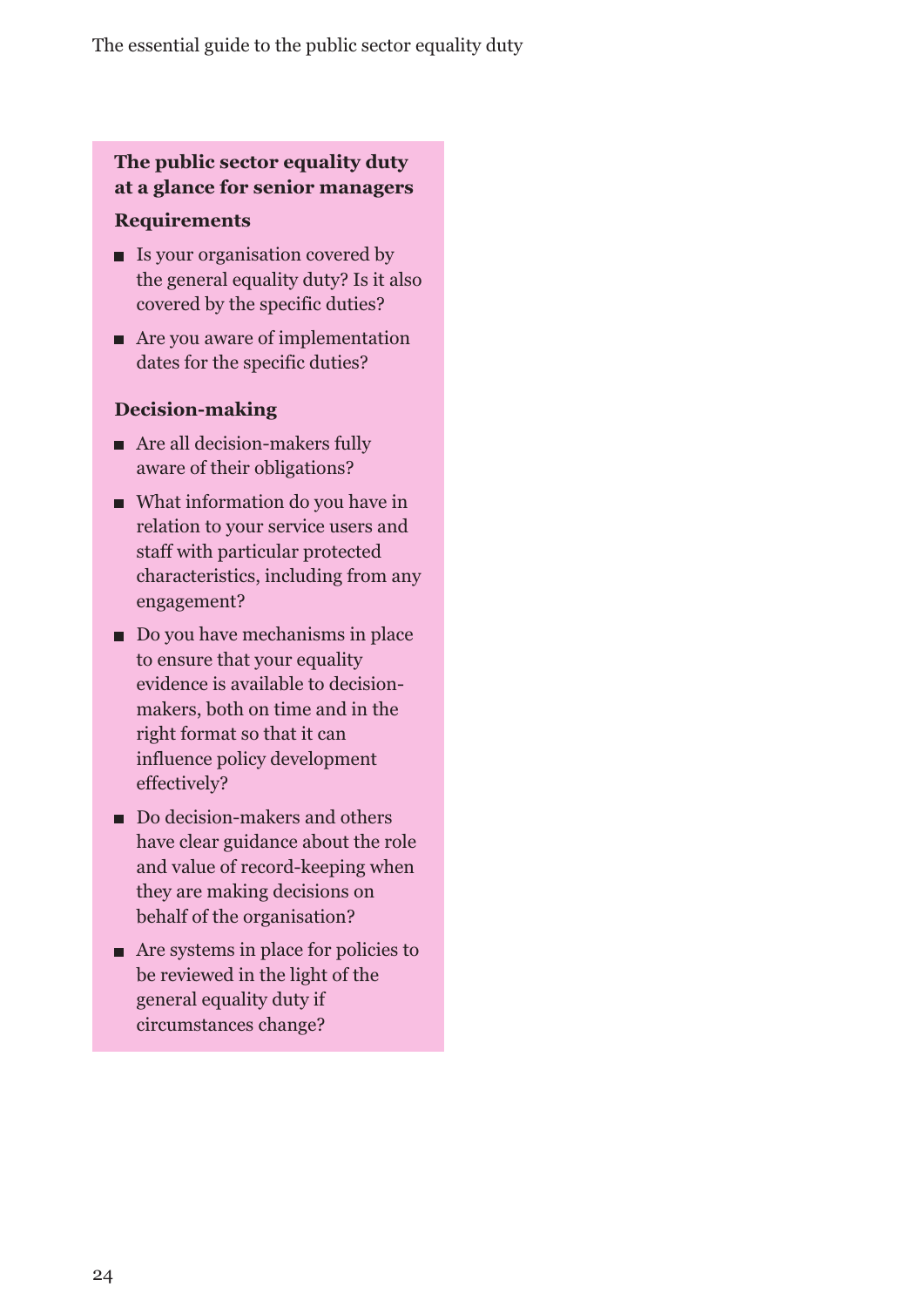#### **The public sector equality duty at a glance for senior managers**

#### **Requirements**

- Is your organisation covered by the general equality duty? Is it also covered by the specific duties?
- Are you aware of implementation dates for the specific duties?

#### **Decision-making**

- Are all decision-makers fully aware of their obligations?
- What information do you have in relation to your service users and staff with particular protected characteristics, including from any engagement?
- Do you have mechanisms in place to ensure that your equality evidence is available to decisionmakers, both on time and in the right format so that it can influence policy development effectively?
- Do decision-makers and others have clear guidance about the role and value of record-keeping when they are making decisions on behalf of the organisation?
- $\blacksquare$  Are systems in place for policies to be reviewed in the light of the general equality duty if circumstances change?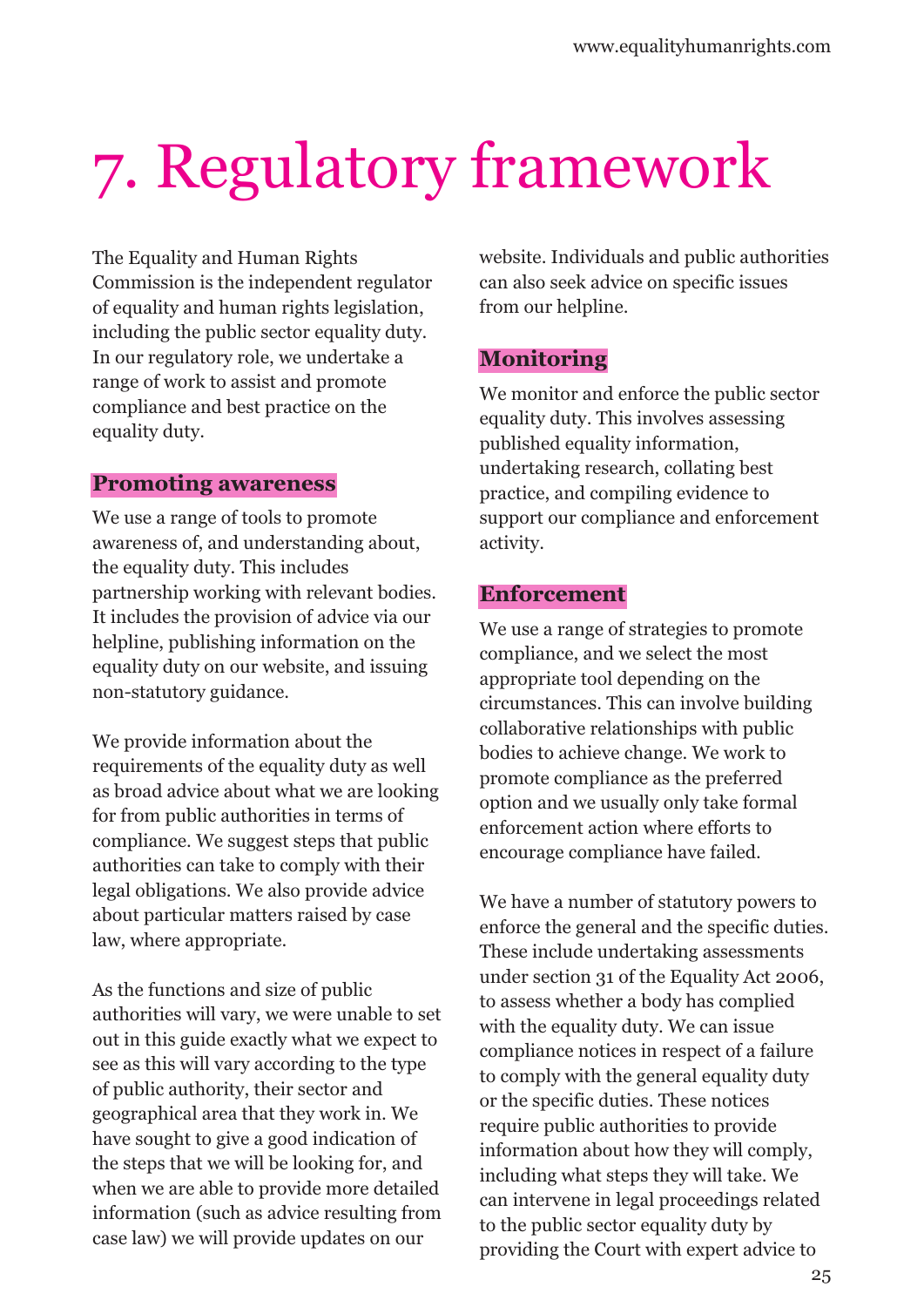# 7. Regulatory framework

The Equality and Human Rights Commission is the independent regulator of equality and human rights legislation, including the public sector equality duty. In our regulatory role, we undertake a range of work to assist and promote compliance and best practice on the equality duty.

#### **Promoting awareness**

We use a range of tools to promote awareness of, and understanding about, the equality duty. This includes partnership working with relevant bodies. It includes the provision of advice via our helpline, publishing information on the equality duty on our website, and issuing non-statutory guidance.

We provide information about the requirements of the equality duty as well as broad advice about what we are looking for from public authorities in terms of compliance. We suggest steps that public authorities can take to comply with their legal obligations. We also provide advice about particular matters raised by case law, where appropriate.

As the functions and size of public authorities will vary, we were unable to set out in this guide exactly what we expect to see as this will vary according to the type of public authority, their sector and geographical area that they work in. We have sought to give a good indication of the steps that we will be looking for, and when we are able to provide more detailed information (such as advice resulting from case law) we will provide updates on our

website. Individuals and public authorities can also seek advice on specific issues from our helpline.

#### **Monitoring**

We monitor and enforce the public sector equality duty. This involves assessing published equality information, undertaking research, collating best practice, and compiling evidence to support our compliance and enforcement activity.

#### **Enforcement**

We use a range of strategies to promote compliance, and we select the most appropriate tool depending on the circumstances. This can involve building collaborative relationships with public bodies to achieve change. We work to promote compliance as the preferred option and we usually only take formal enforcement action where efforts to encourage compliance have failed.

We have a number of statutory powers to enforce the general and the specific duties. These include undertaking assessments under section 31 of the Equality Act 2006, to assess whether a body has complied with the equality duty. We can issue compliance notices in respect of a failure to comply with the general equality duty or the specific duties. These notices require public authorities to provide information about how they will comply, including what steps they will take. We can intervene in legal proceedings related to the public sector equality duty by providing the Court with expert advice to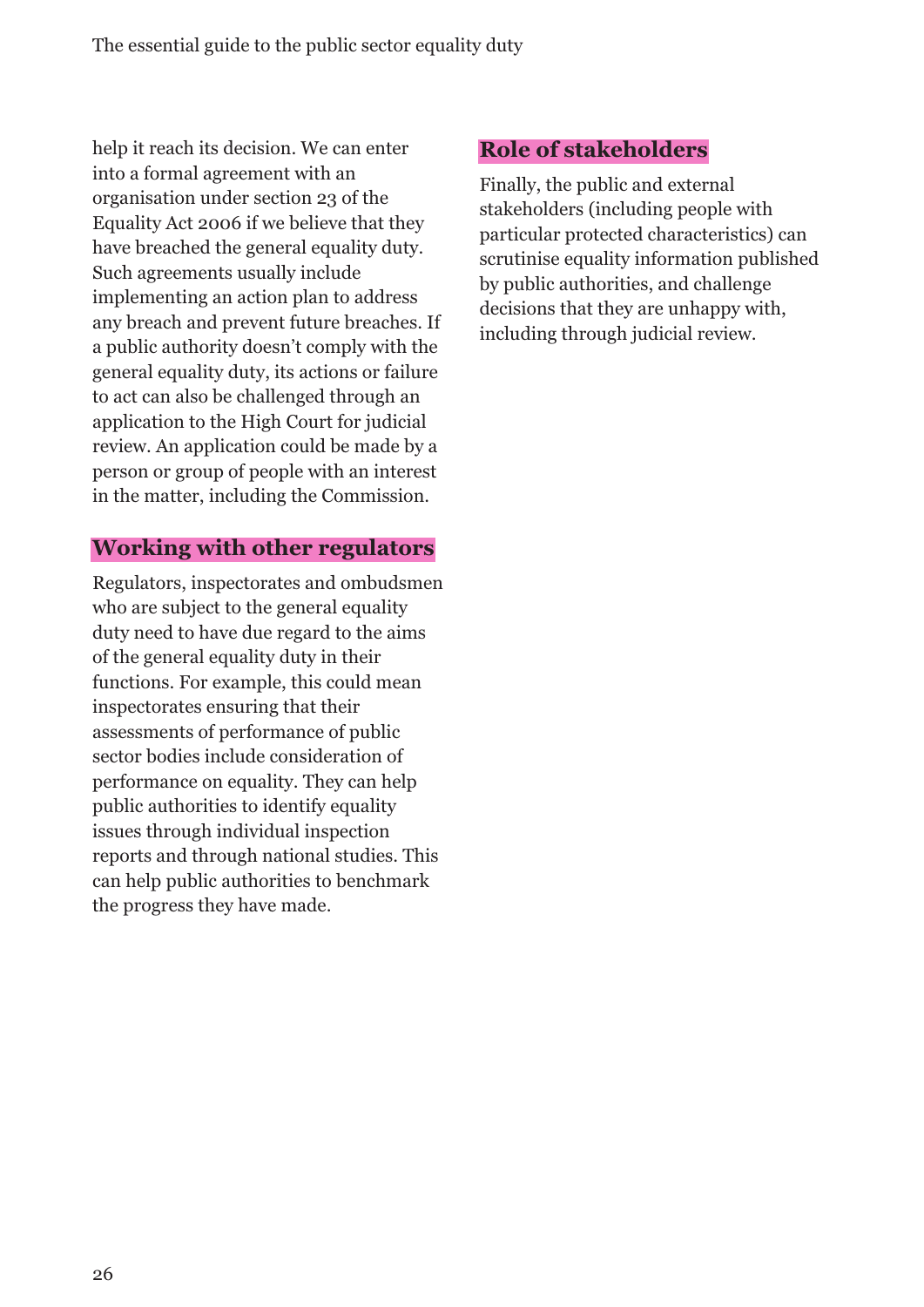The essential guide to the public sector equality duty

help it reach its decision. We can enter into a formal agreement with an organisation under section 23 of the Equality Act 2006 if we believe that they have breached the general equality duty. Such agreements usually include implementing an action plan to address any breach and prevent future breaches. If a public authority doesn't comply with the general equality duty, its actions or failure to act can also be challenged through an application to the High Court for judicial review. An application could be made by a person or group of people with an interest in the matter, including the Commission.

#### **Working with other regulators**

Regulators, inspectorates and ombudsmen who are subject to the general equality duty need to have due regard to the aims of the general equality duty in their functions. For example, this could mean inspectorates ensuring that their assessments of performance of public sector bodies include consideration of performance on equality. They can help public authorities to identify equality issues through individual inspection reports and through national studies. This can help public authorities to benchmark the progress they have made.

#### **Role of stakeholders**

Finally, the public and external stakeholders (including people with particular protected characteristics) can scrutinise equality information published by public authorities, and challenge decisions that they are unhappy with, including through judicial review.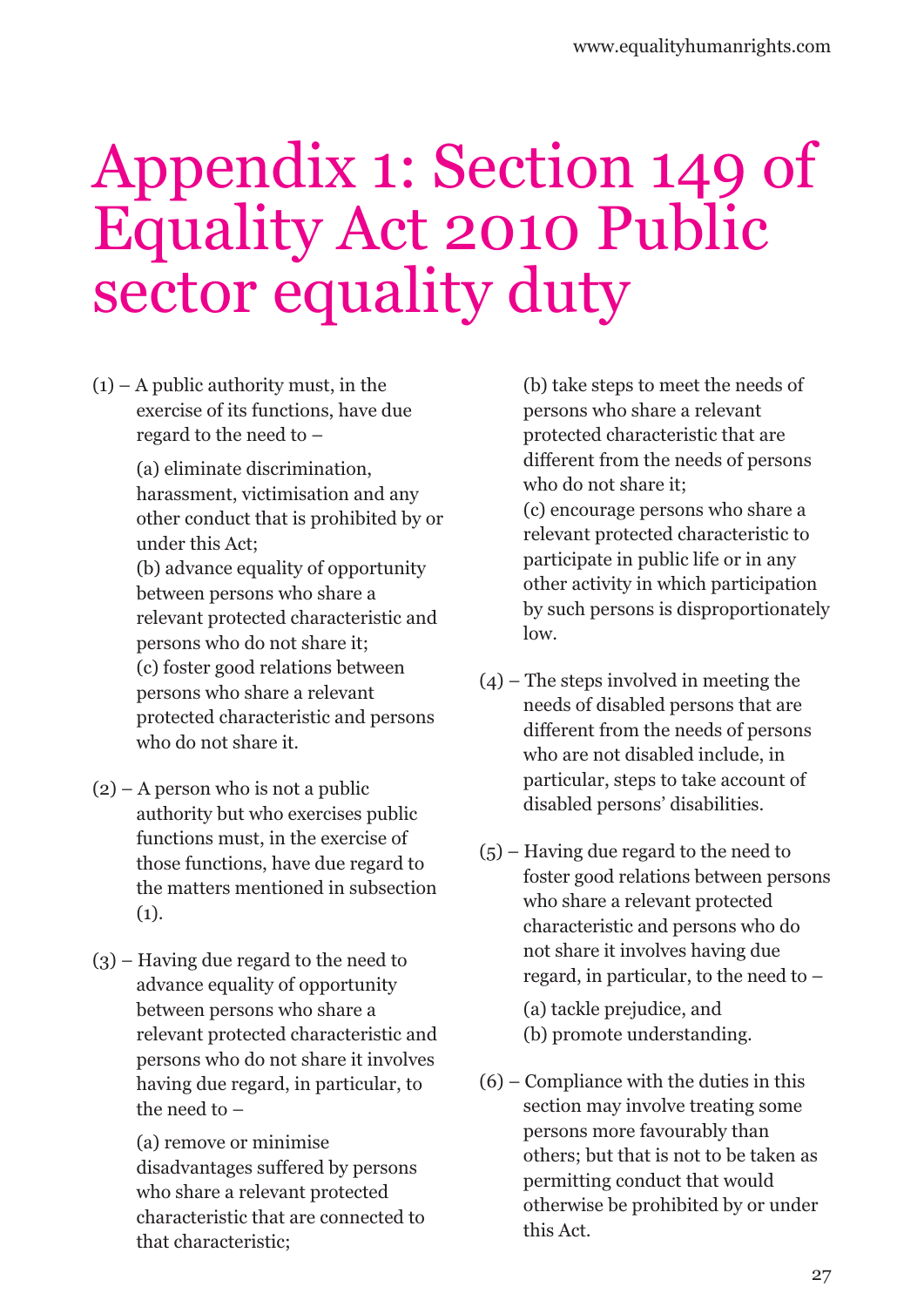### Appendix 1: Section 149 of Equality Act 2010 Public sector equality duty

 $(1)$  – A public authority must, in the exercise of its functions, have due regard to the need to –

> (a) eliminate discrimination, harassment, victimisation and any other conduct that is prohibited by or under this Act;

(b) advance equality of opportunity between persons who share a relevant protected characteristic and persons who do not share it; (c) foster good relations between persons who share a relevant protected characteristic and persons who do not share it.

- $(2)$  A person who is not a public authority but who exercises public functions must, in the exercise of those functions, have due regard to the matters mentioned in subsection (1).
- (3) Having due regard to the need to advance equality of opportunity between persons who share a relevant protected characteristic and persons who do not share it involves having due regard, in particular, to the need to –

(a) remove or minimise disadvantages suffered by persons who share a relevant protected characteristic that are connected to that characteristic;

(b) take steps to meet the needs of persons who share a relevant protected characteristic that are different from the needs of persons who do not share it; (c) encourage persons who share a relevant protected characteristic to participate in public life or in any other activity in which participation by such persons is disproportionately low.

- (4) The steps involved in meeting the needs of disabled persons that are different from the needs of persons who are not disabled include, in particular, steps to take account of disabled persons' disabilities.
- (5) Having due regard to the need to foster good relations between persons who share a relevant protected characteristic and persons who do not share it involves having due regard, in particular, to the need to –
	- (a) tackle prejudice, and (b) promote understanding.
- (6) Compliance with the duties in this section may involve treating some persons more favourably than others; but that is not to be taken as permitting conduct that would otherwise be prohibited by or under this Act.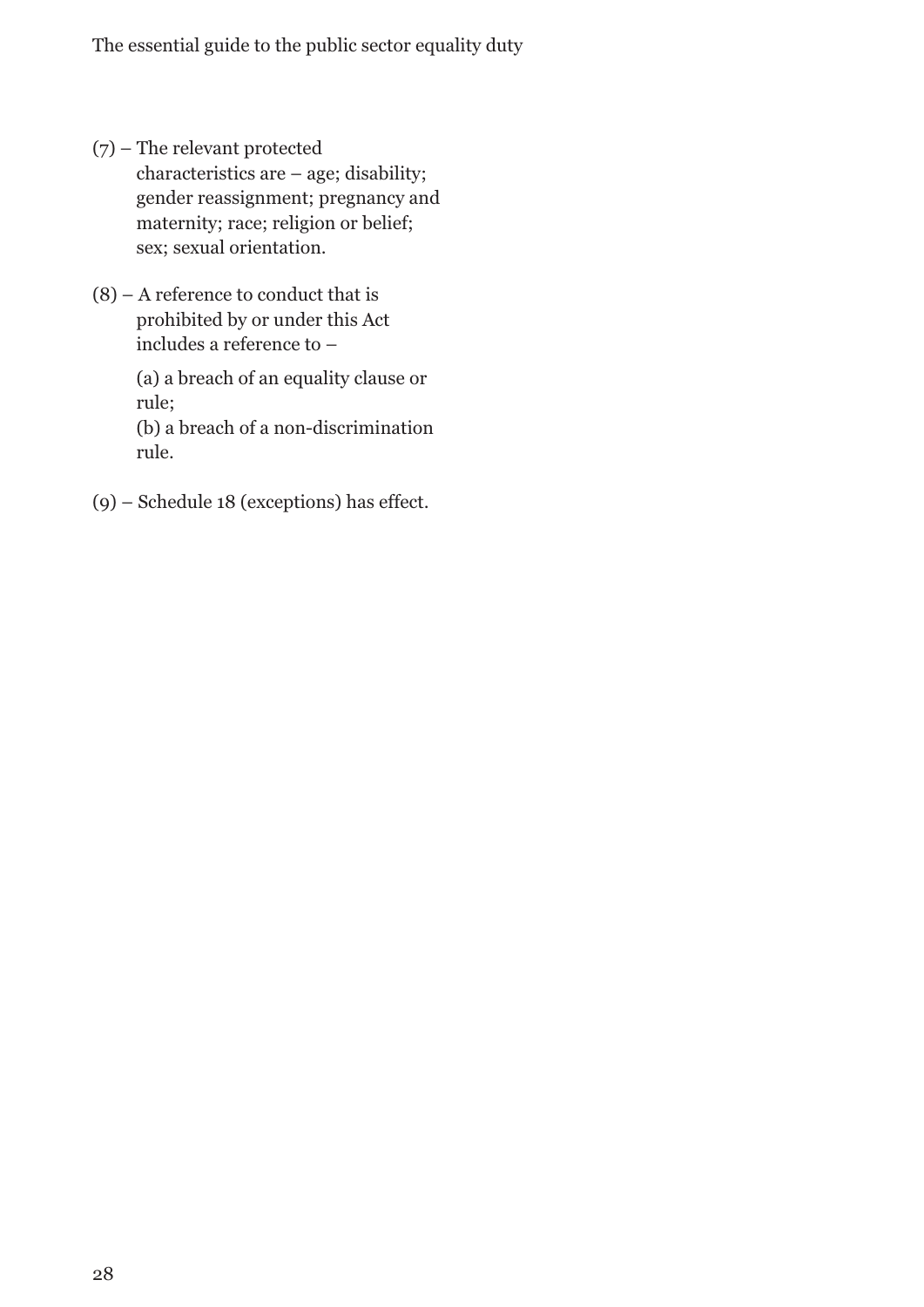The essential guide to the public sector equality duty

- (7) The relevant protected characteristics are – age; disability; gender reassignment; pregnancy and maternity; race; religion or belief; sex; sexual orientation.
- $(8)$  A reference to conduct that is prohibited by or under this Act includes a reference to –

(a) a breach of an equality clause or rule;

(b) a breach of a non-discrimination rule.

(9) – Schedule 18 (exceptions) has effect.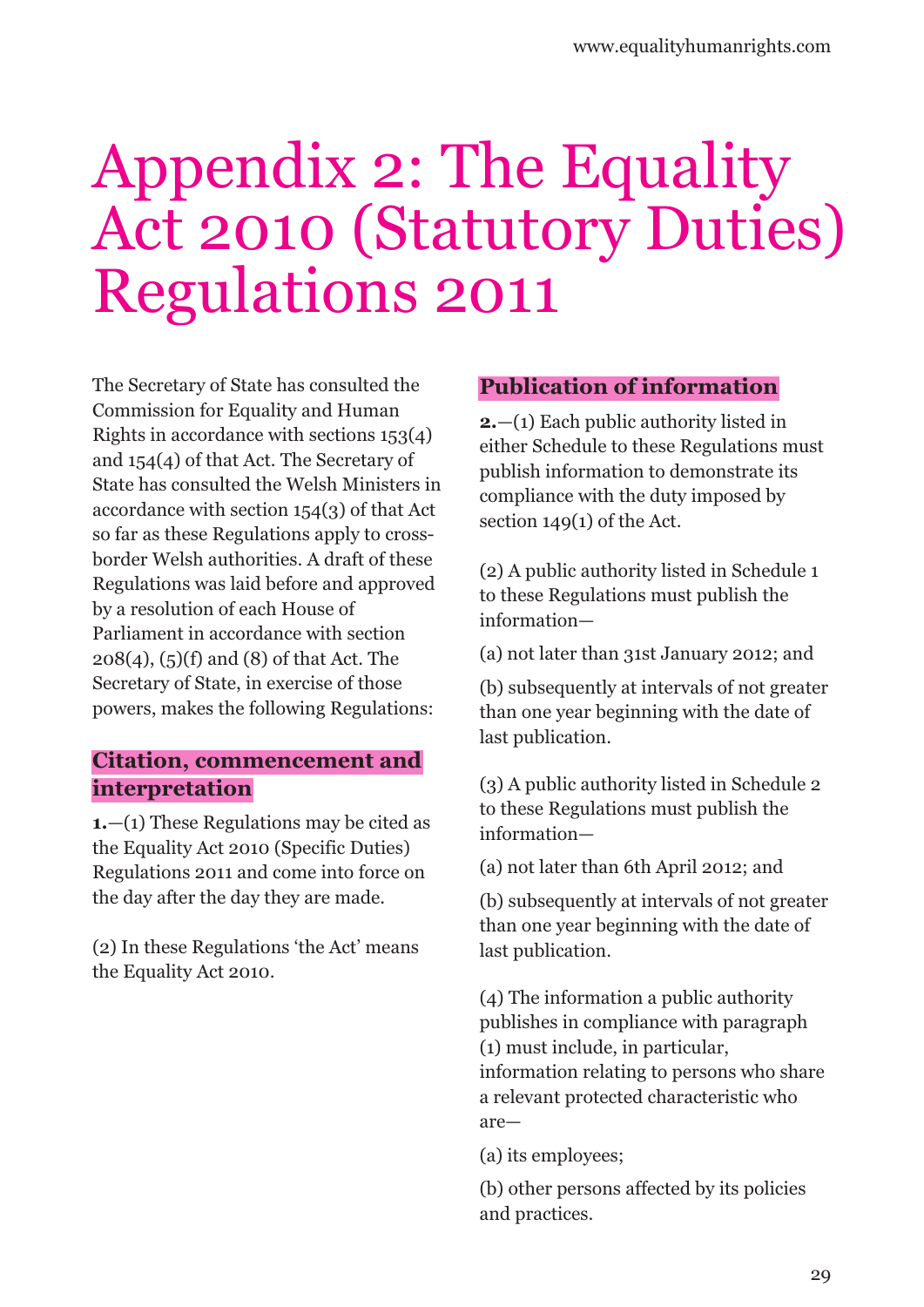### Appendix 2: The Equality Act 2010 (Statutory Duties) Regulations 2011

The Secretary of State has consulted the Commission for Equality and Human Rights in accordance with sections 153(4) and 154(4) of that Act. The Secretary of State has consulted the Welsh Ministers in accordance with section 154(3) of that Act so far as these Regulations apply to crossborder Welsh authorities. A draft of these Regulations was laid before and approved by a resolution of each House of Parliament in accordance with section 208(4), (5)(f) and (8) of that Act. The Secretary of State, in exercise of those powers, makes the following Regulations:

#### **Citation, commencement and interpretation**

**1.**—(1) These Regulations may be cited as the Equality Act 2010 (Specific Duties) Regulations 2011 and come into force on the day after the day they are made.

(2) In these Regulations 'the Act' means the Equality Act 2010.

#### **Publication of information**

**2.**—(1) Each public authority listed in either Schedule to these Regulations must publish information to demonstrate its compliance with the duty imposed by section 149(1) of the Act.

(2) A public authority listed in Schedule 1 to these Regulations must publish the information—

(a) not later than 31st January 2012; and

(b) subsequently at intervals of not greater than one year beginning with the date of last publication.

(3) A public authority listed in Schedule 2 to these Regulations must publish the information—

(a) not later than 6th April 2012; and

(b) subsequently at intervals of not greater than one year beginning with the date of last publication.

(4) The information a public authority publishes in compliance with paragraph (1) must include, in particular, information relating to persons who share a relevant protected characteristic who are—

(a) its employees;

(b) other persons affected by its policies and practices.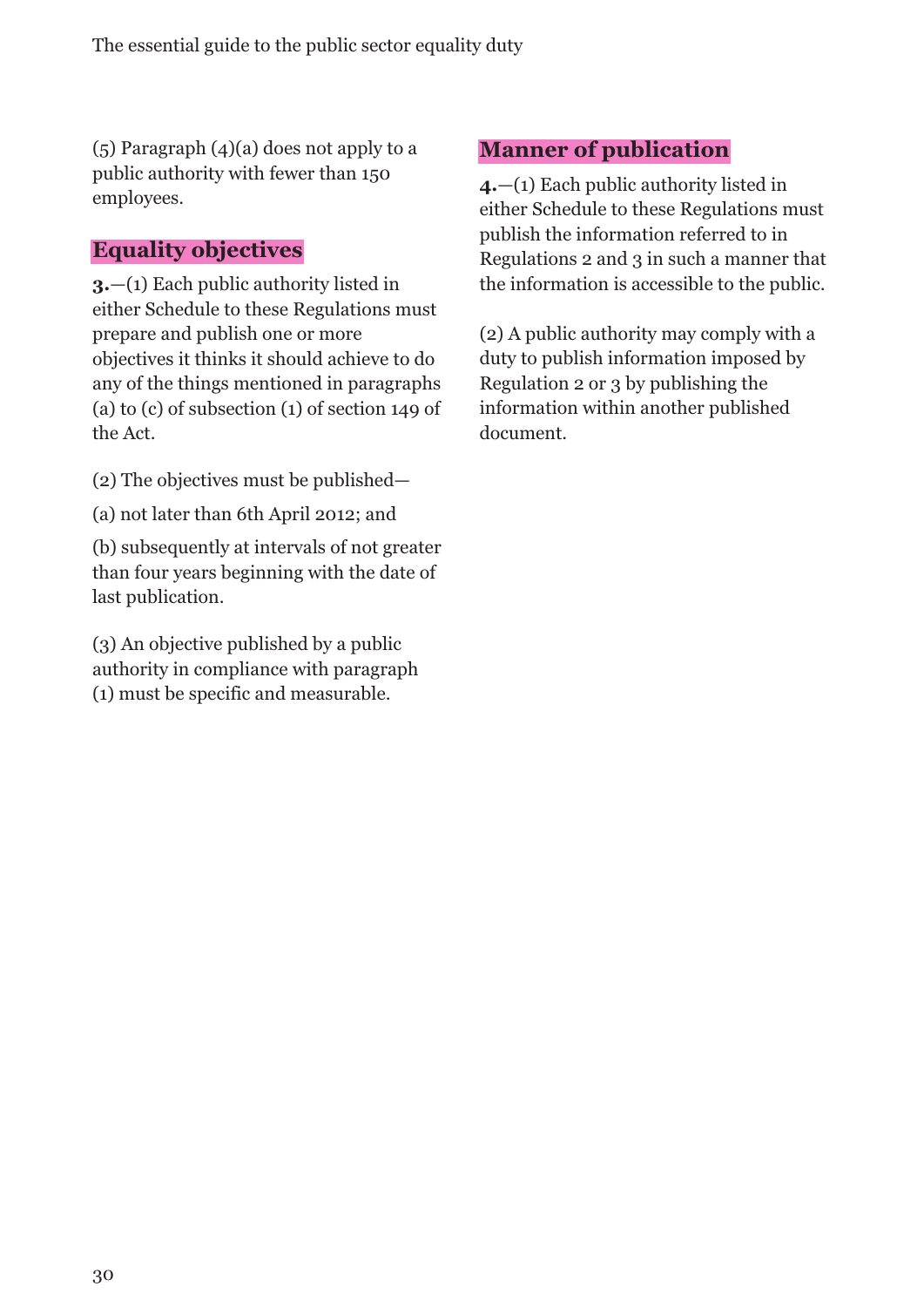(5) Paragraph (4)(a) does not apply to a public authority with fewer than 150 employees.

#### **Equality objectives**

**3.**—(1) Each public authority listed in either Schedule to these Regulations must prepare and publish one or more objectives it thinks it should achieve to do any of the things mentioned in paragraphs (a) to (c) of subsection (1) of section 149 of the Act.

(2) The objectives must be published—

(a) not later than 6th April 2012; and

(b) subsequently at intervals of not greater than four years beginning with the date of last publication.

(3) An objective published by a public authority in compliance with paragraph (1) must be specific and measurable.

#### **Manner of publication**

**4.**—(1) Each public authority listed in either Schedule to these Regulations must publish the information referred to in Regulations 2 and 3 in such a manner that the information is accessible to the public.

(2) A public authority may comply with a duty to publish information imposed by Regulation 2 or 3 by publishing the information within another published document.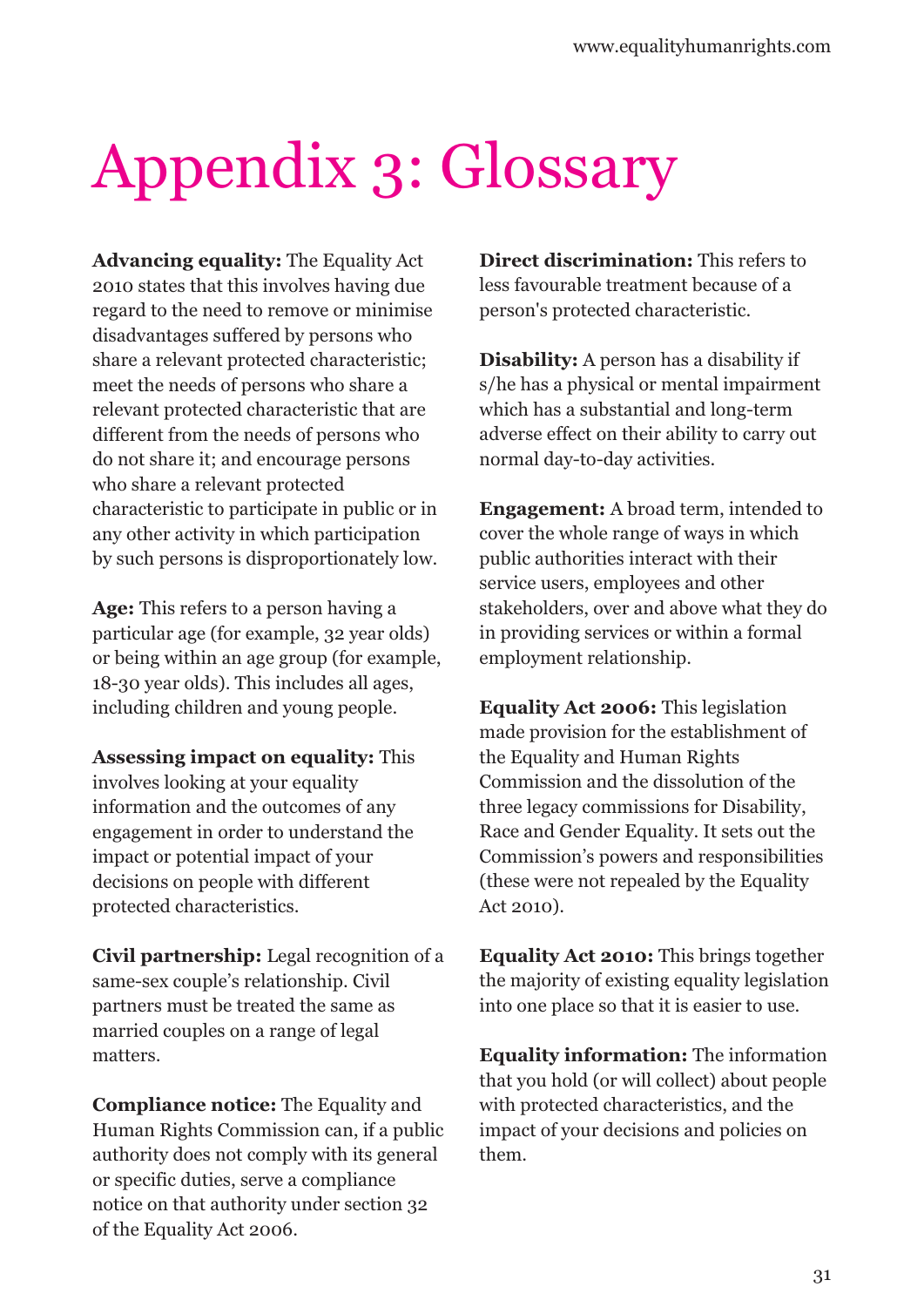# Appendix 3: Glossary

**Advancing equality:** The Equality Act 2010 states that this involves having due regard to the need to remove or minimise disadvantages suffered by persons who share a relevant protected characteristic; meet the needs of persons who share a relevant protected characteristic that are different from the needs of persons who do not share it; and encourage persons who share a relevant protected characteristic to participate in public or in any other activity in which participation by such persons is disproportionately low.

**Age:** This refers to a person having a particular age (for example, 32 year olds) or being within an age group (for example, 18-30 year olds). This includes all ages, including children and young people.

**Assessing impact on equality:** This involves looking at your equality information and the outcomes of any engagement in order to understand the impact or potential impact of your decisions on people with different protected characteristics.

**Civil partnership:** Legal recognition of a same-sex couple's relationship. Civil partners must be treated the same as married couples on a range of legal matters.

**Compliance notice:** The Equality and Human Rights Commission can, if a public authority does not comply with its general or specific duties, serve a compliance notice on that authority under section 32 of the Equality Act 2006.

**Direct discrimination:** This refers to less favourable treatment because of a person's protected characteristic.

**Disability:** A person has a disability if s/he has a physical or mental impairment which has a substantial and long-term adverse effect on their ability to carry out normal day-to-day activities.

**Engagement:** A broad term, intended to cover the whole range of ways in which public authorities interact with their service users, employees and other stakeholders, over and above what they do in providing services or within a formal employment relationship.

**Equality Act 2006:** This legislation made provision for the establishment of the Equality and Human Rights Commission and the dissolution of the three legacy commissions for Disability, Race and Gender Equality. It sets out the Commission's powers and responsibilities (these were not repealed by the Equality Act 2010).

**Equality Act 2010:** This brings together the majority of existing equality legislation into one place so that it is easier to use.

**Equality information:** The information that you hold (or will collect) about people with protected characteristics, and the impact of your decisions and policies on them.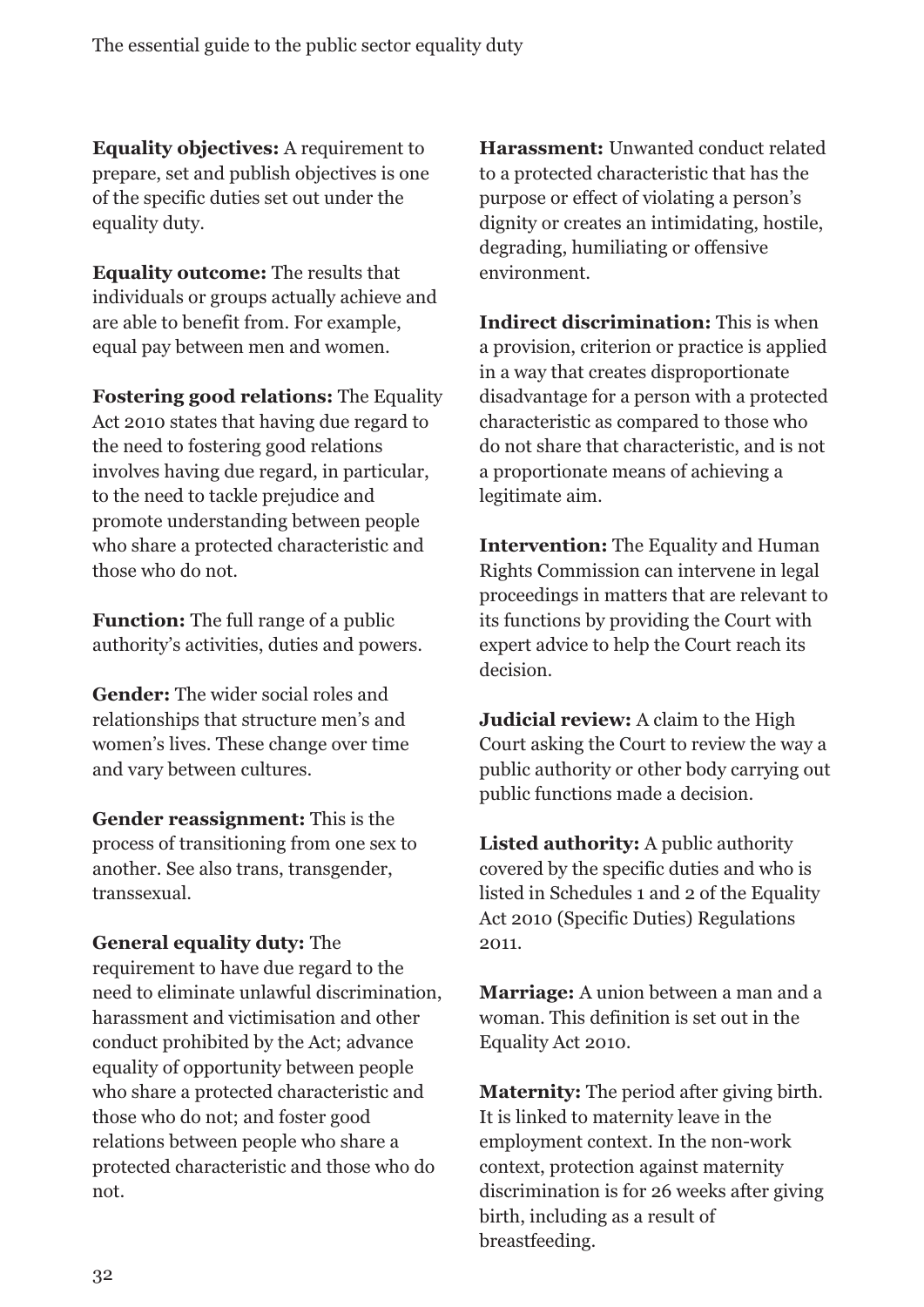**Equality objectives:** A requirement to prepare, set and publish objectives is one of the specific duties set out under the equality duty.

**Equality outcome:** The results that individuals or groups actually achieve and are able to benefit from. For example, equal pay between men and women.

**Fostering good relations:** The Equality Act 2010 states that having due regard to the need to fostering good relations involves having due regard, in particular, to the need to tackle prejudice and promote understanding between people who share a protected characteristic and those who do not.

**Function:** The full range of a public authority's activities, duties and powers.

**Gender:** The wider social roles and relationships that structure men's and women's lives. These change over time and vary between cultures.

**Gender reassignment:** This is the process of transitioning from one sex to another. See also trans, transgender, transsexual.

#### **General equality duty:** The

requirement to have due regard to the need to eliminate unlawful discrimination, harassment and victimisation and other conduct prohibited by the Act; advance equality of opportunity between people who share a protected characteristic and those who do not; and foster good relations between people who share a protected characteristic and those who do not.

**Harassment:** Unwanted conduct related to a protected characteristic that has the purpose or effect of violating a person's dignity or creates an intimidating, hostile, degrading, humiliating or offensive environment.

**Indirect discrimination:** This is when a provision, criterion or practice is applied in a way that creates disproportionate disadvantage for a person with a protected characteristic as compared to those who do not share that characteristic, and is not a proportionate means of achieving a legitimate aim.

**Intervention:** The Equality and Human Rights Commission can intervene in legal proceedings in matters that are relevant to its functions by providing the Court with expert advice to help the Court reach its decision.

**Judicial review:** A claim to the High Court asking the Court to review the way a public authority or other body carrying out public functions made a decision.

**Listed authority:** A public authority covered by the specific duties and who is listed in Schedules 1 and 2 of the Equality Act 2010 (Specific Duties) Regulations 2011.

**Marriage:** A union between a man and a woman. This definition is set out in the Equality Act 2010.

**Maternity:** The period after giving birth. It is linked to maternity leave in the employment context. In the non-work context, protection against maternity discrimination is for 26 weeks after giving birth, including as a result of breastfeeding.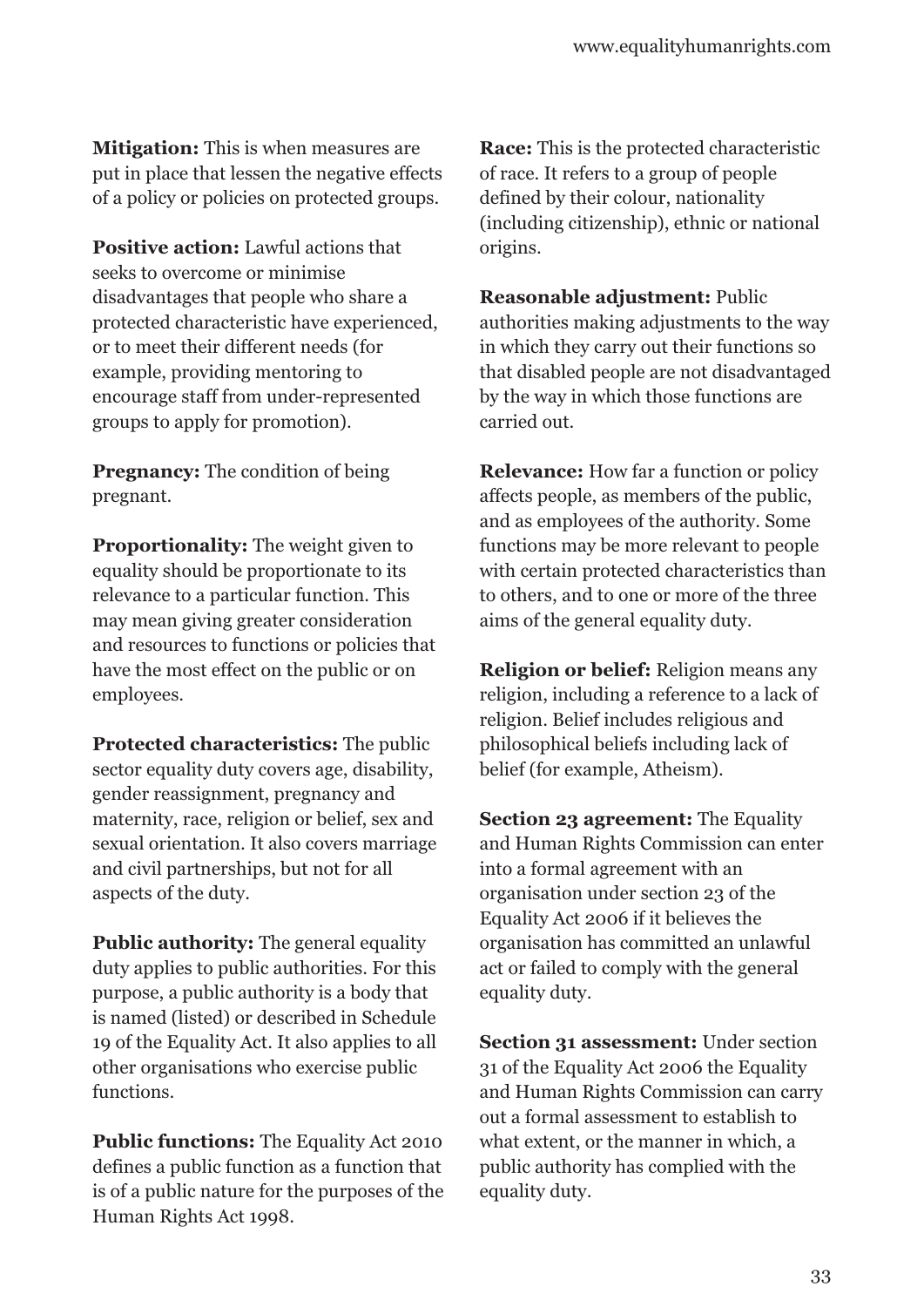**Mitigation:** This is when measures are put in place that lessen the negative effects of a policy or policies on protected groups.

**Positive action:** Lawful actions that seeks to overcome or minimise disadvantages that people who share a protected characteristic have experienced, or to meet their different needs (for example, providing mentoring to encourage staff from under-represented groups to apply for promotion).

**Pregnancy:** The condition of being pregnant.

**Proportionality:** The weight given to equality should be proportionate to its relevance to a particular function. This may mean giving greater consideration and resources to functions or policies that have the most effect on the public or on employees.

**Protected characteristics:** The public sector equality duty covers age, disability, gender reassignment, pregnancy and maternity, race, religion or belief, sex and sexual orientation. It also covers marriage and civil partnerships, but not for all aspects of the duty.

**Public authority:** The general equality duty applies to public authorities. For this purpose, a public authority is a body that is named (listed) or described in Schedule 19 of the Equality Act. It also applies to all other organisations who exercise public functions.

**Public functions:** The Equality Act 2010 defines a public function as a function that is of a public nature for the purposes of the Human Rights Act 1998.

**Race:** This is the protected characteristic of race. It refers to a group of people defined by their colour, nationality (including citizenship), ethnic or national origins.

**Reasonable adjustment:** Public authorities making adjustments to the way in which they carry out their functions so that disabled people are not disadvantaged by the way in which those functions are carried out.

**Relevance:** How far a function or policy affects people, as members of the public, and as employees of the authority. Some functions may be more relevant to people with certain protected characteristics than to others, and to one or more of the three aims of the general equality duty.

**Religion or belief:** Religion means any religion, including a reference to a lack of religion. Belief includes religious and philosophical beliefs including lack of belief (for example, Atheism).

**Section 23 agreement:** The Equality and Human Rights Commission can enter into a formal agreement with an organisation under section 23 of the Equality Act 2006 if it believes the organisation has committed an unlawful act or failed to comply with the general equality duty.

**Section 31 assessment:** Under section 31 of the Equality Act 2006 the Equality and Human Rights Commission can carry out a formal assessment to establish to what extent, or the manner in which, a public authority has complied with the equality duty.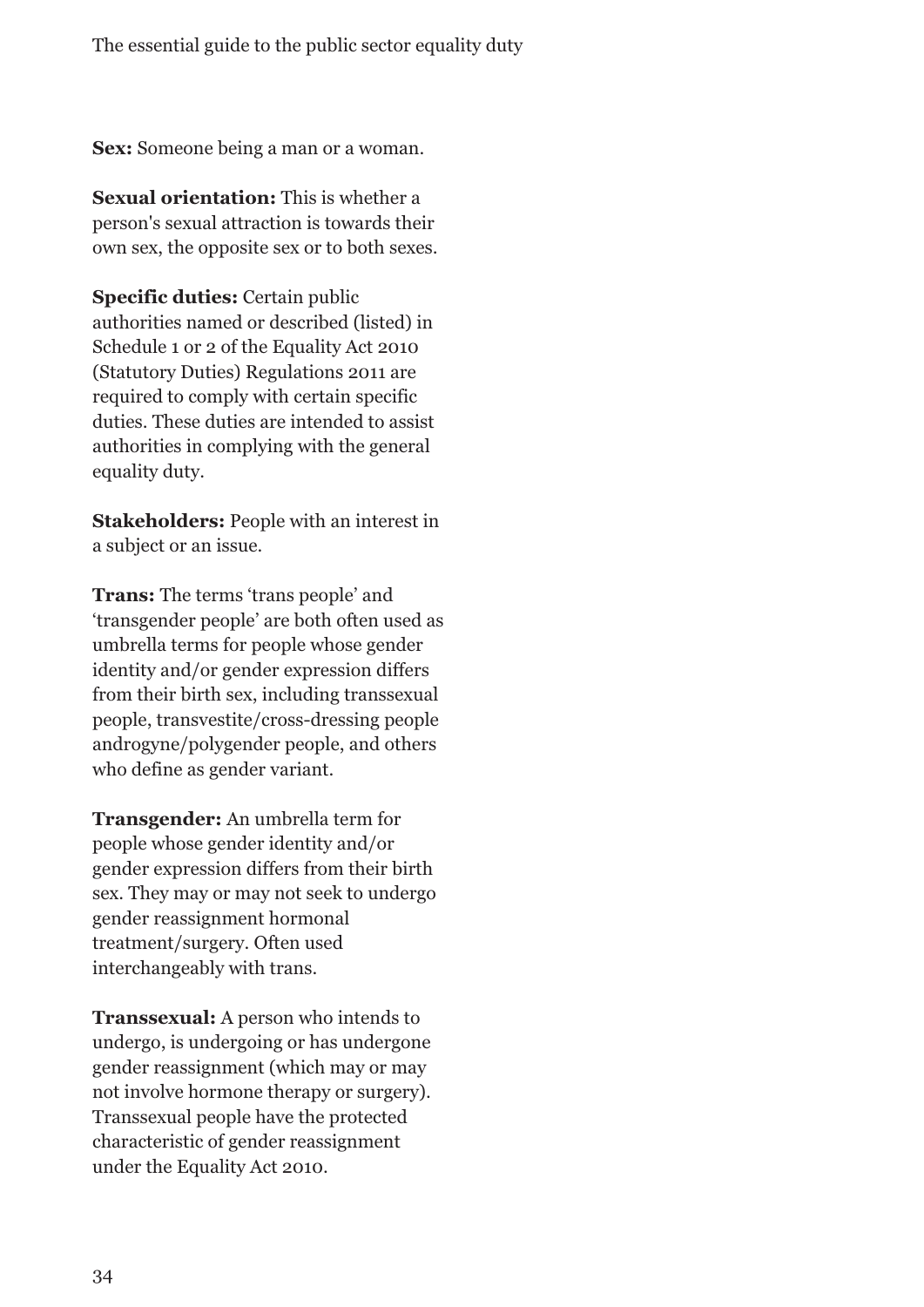**Sex:** Someone being a man or a woman.

**Sexual orientation:** This is whether a person's sexual attraction is towards their own sex, the opposite sex or to both sexes.

**Specific duties:** Certain public authorities named or described (listed) in Schedule 1 or 2 of the Equality Act 2010 (Statutory Duties) Regulations 2011 are required to comply with certain specific duties. These duties are intended to assist authorities in complying with the general equality duty.

**Stakeholders:** People with an interest in a subject or an issue.

**Trans:** The terms 'trans people' and 'transgender people' are both often used as umbrella terms for people whose gender identity and/or gender expression differs from their birth sex, including transsexual people, transvestite/cross-dressing people androgyne/polygender people, and others who define as gender variant.

**Transgender:** An umbrella term for people whose gender identity and/or gender expression differs from their birth sex. They may or may not seek to undergo gender reassignment hormonal treatment/surgery. Often used interchangeably with trans.

**Transsexual:** A person who intends to undergo, is undergoing or has undergone gender reassignment (which may or may not involve hormone therapy or surgery). Transsexual people have the protected characteristic of gender reassignment under the Equality Act 2010.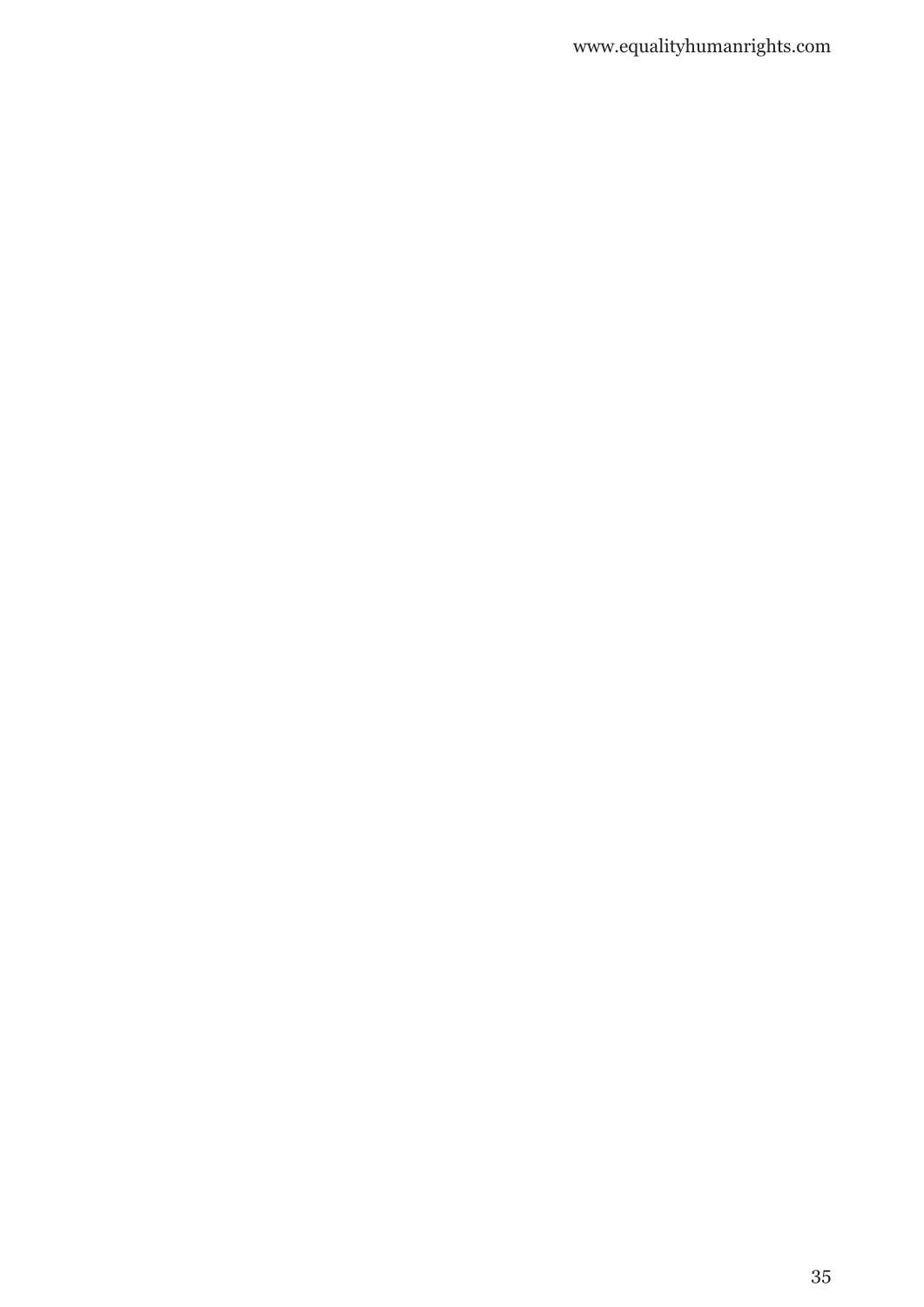[www.equalityhumanrights.com](http://www.equalityhumanrights.com)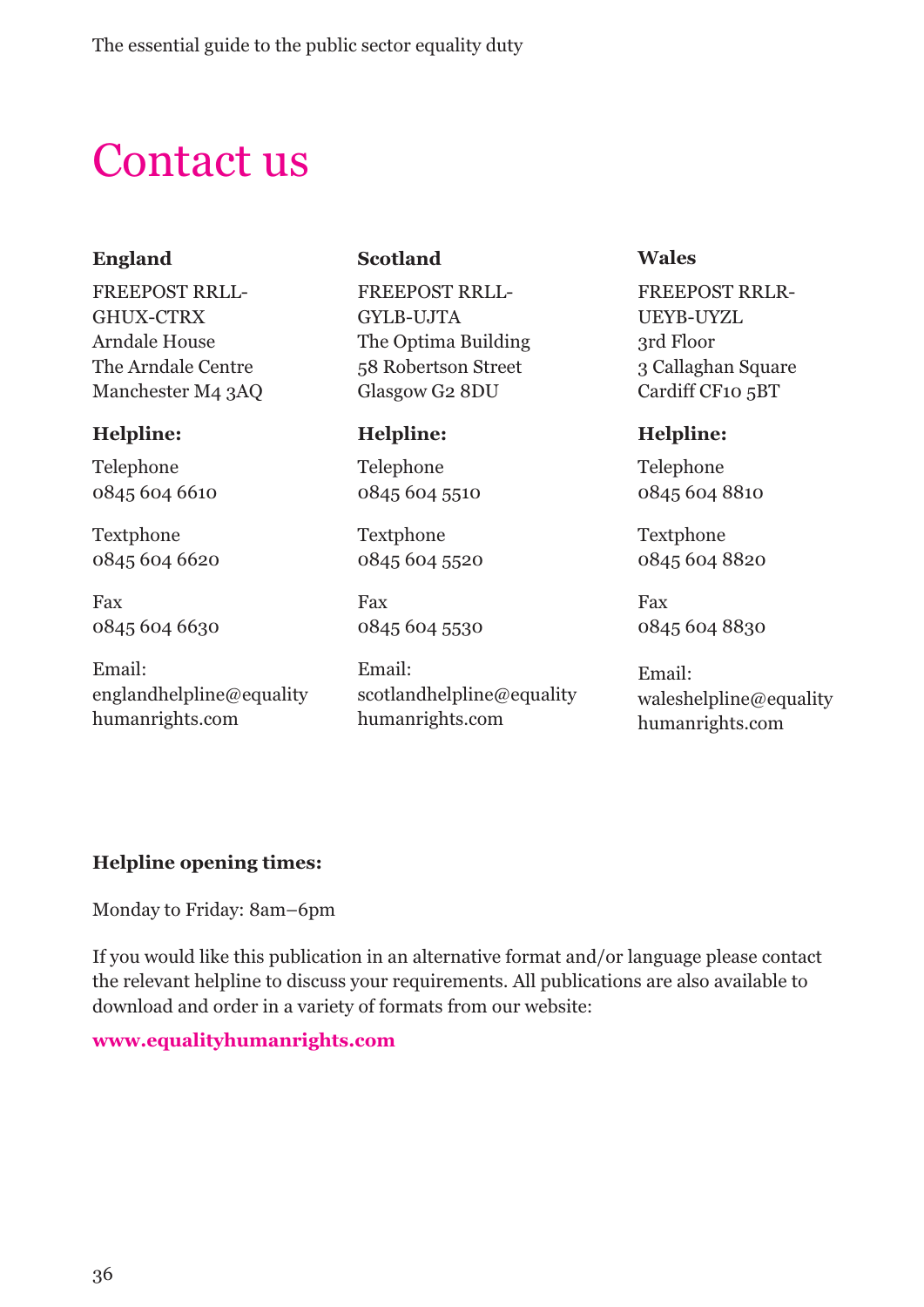### Contact us

#### **England**

FREEPOST RRLL-GHUX-CTRX Arndale House The Arndale Centre Manchester M4 3AQ

#### **Helpline:**

Telephone 0845 604 6610

Textphone 0845 604 6620

Fax 0845 604 6630

Email: englandhelpline@equality humanrights.com

#### **Scotland**

FREEPOST RRLL-GYLB-UJTA The Optima Building 58 Robertson Street Glasgow G2 8DU

#### **Helpline:**

Telephone 0845 604 5510

Textphone 0845 604 5520

Fax 0845 604 5530

Email: scotlandhelpline@equality humanrights.com

#### **Wales**

FREEPOST RRLR-UEYB-UYZL 3rd Floor 3 Callaghan Square Cardiff CF10 5BT

#### **Helpline:**

Telephone 0845 604 8810

Textphone 0845 604 8820

Fax 0845 604 8830

Email: waleshelpline@equality humanrights.com

#### **Helpline opening times:**

Monday to Friday: 8am–6pm

If you would like this publication in an alternative format and/or language please contact the relevant helpline to discuss your requirements. All publications are also available to download and order in a variety of formats from our website:

#### **[www.equalityhumanrights.com](http://www.equalityhumanrights.com)**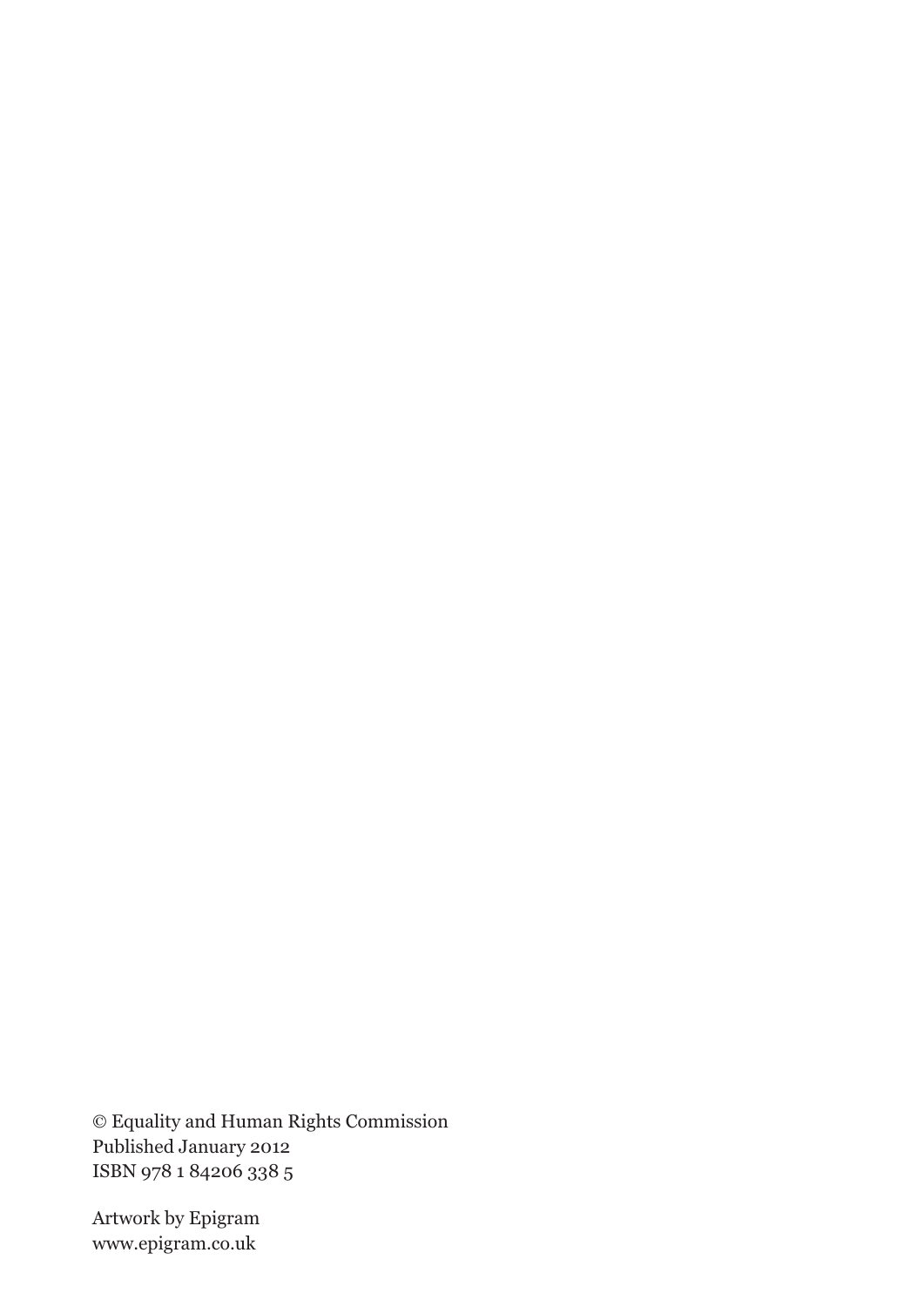Equality and Human Rights Commission Published January 2012 ISBN 978 1 84206 338 5

Artwork by Epigram [www.epigram.co.uk](http://www.epigram.co.uk)